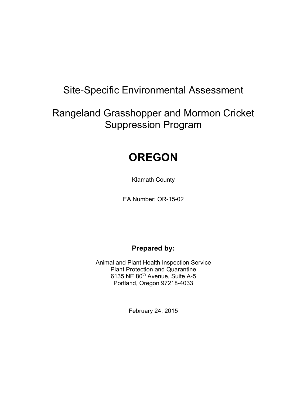# Site-Specific Environmental Assessment

# Rangeland Grasshopper and Mormon Cricket Suppression Program

# **OREGON**

Klamath County

EA Number: OR-15-02

# **Prepared by:**

Animal and Plant Health Inspection Service Plant Protection and Quarantine 6135 NE 80<sup>th</sup> Avenue, Suite A-5 Portland, Oregon 97218-4033

February 24, 2015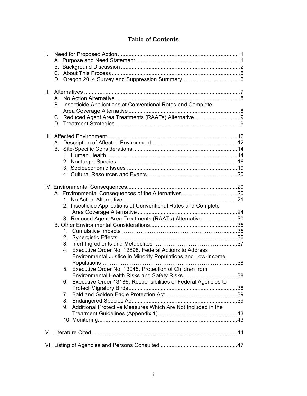# **Table of Contents**

| I.                                                                |  |
|-------------------------------------------------------------------|--|
|                                                                   |  |
|                                                                   |  |
|                                                                   |  |
|                                                                   |  |
| II.                                                               |  |
| A                                                                 |  |
| Insecticide Applications at Conventional Rates and Complete<br>В. |  |
|                                                                   |  |
| C. Reduced Agent Area Treatments (RAATs) Alternative9             |  |
|                                                                   |  |
|                                                                   |  |
|                                                                   |  |
| В.                                                                |  |
|                                                                   |  |
|                                                                   |  |
|                                                                   |  |
|                                                                   |  |
|                                                                   |  |
|                                                                   |  |
|                                                                   |  |
| 2. Insecticide Applications at Conventional Rates and Complete    |  |
|                                                                   |  |
| 3. Reduced Agent Area Treatments (RAATs) Alternative30            |  |
|                                                                   |  |
| $1_{\cdot}$                                                       |  |
| 2.                                                                |  |
|                                                                   |  |
| 4. Executive Order No. 12898, Federal Actions to Address          |  |
| Environmental Justice in Minority Populations and Low-Income      |  |
|                                                                   |  |
| 5. Executive Order No. 13045, Protection of Children from         |  |
| Environmental Health Risks and Safety Risks 38                    |  |
| 6. Executive Order 13186, Responsibilities of Federal Agencies to |  |
| $7_{\scriptscriptstyle{\ddots}}$                                  |  |
| 8.                                                                |  |
| 9. Additional Protective Measures Which Are Not Included in the   |  |
|                                                                   |  |
|                                                                   |  |
|                                                                   |  |
|                                                                   |  |
|                                                                   |  |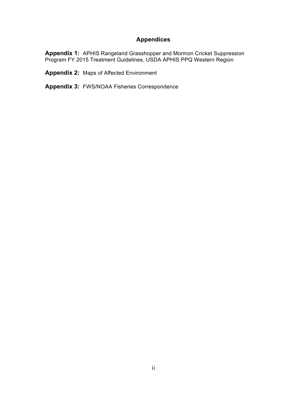# **Appendices**

**Appendix 1:** APHIS Rangeland Grasshopper and Mormon Cricket Suppression Program FY 2015 Treatment Guidelines, USDA APHIS PPQ Western Region

**Appendix 2:** Maps of Affected Environment

**Appendix 3:** FWS/NOAA Fisheries Correspondence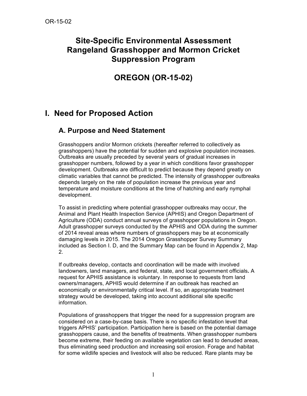# **Site-Specific Environmental Assessment Rangeland Grasshopper and Mormon Cricket Suppression Program**

# **OREGON (OR-15-02)**

# **I. Need for Proposed Action**

# **A. Purpose and Need Statement**

Grasshoppers and/or Mormon crickets (hereafter referred to collectively as grasshoppers) have the potential for sudden and explosive population increases. Outbreaks are usually preceded by several years of gradual increases in grasshopper numbers, followed by a year in which conditions favor grasshopper development. Outbreaks are difficult to predict because they depend greatly on climatic variables that cannot be predicted. The intensity of grasshopper outbreaks depends largely on the rate of population increase the previous year and temperature and moisture conditions at the time of hatching and early nymphal development.

To assist in predicting where potential grasshopper outbreaks may occur, the Animal and Plant Health Inspection Service (APHIS) and Oregon Department of Agriculture (ODA) conduct annual surveys of grasshopper populations in Oregon. Adult grasshopper surveys conducted by the APHIS and ODA during the summer of 2014 reveal areas where numbers of grasshoppers may be at economically damaging levels in 2015. The 2014 Oregon Grasshopper Survey Summary included as Section I. D, and the Summary Map can be found in Appendix 2, Map 2.

If outbreaks develop, contacts and coordination will be made with involved landowners, land managers, and federal, state, and local government officials**.** A request for APHIS assistance is voluntary. In response to requests from land owners/managers, APHIS would determine if an outbreak has reached an economically or environmentally critical level. If so, an appropriate treatment strategy would be developed, taking into account additional site specific information.

Populations of grasshoppers that trigger the need for a suppression program are considered on a case-by-case basis. There is no specific infestation level that triggers APHIS' participation. Participation here is based on the potential damage grasshoppers cause, and the benefits of treatments. When grasshopper numbers become extreme, their feeding on available vegetation can lead to denuded areas, thus eliminating seed production and increasing soil erosion. Forage and habitat for some wildlife species and livestock will also be reduced. Rare plants may be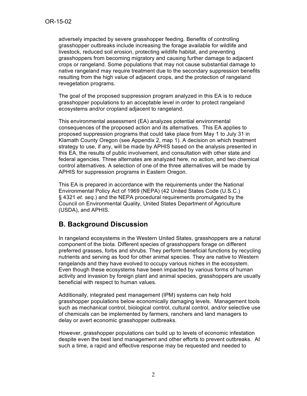adversely impacted by severe grasshopper feeding. Benefits of controlling grasshopper outbreaks include increasing the forage available for wildlife and livestock, reduced soil erosion, protecting wildlife habitat, and preventing grasshoppers from becoming migratory and causing further damage to adjacent crops or rangeland. Some populations that may not cause substantial damage to native rangeland may require treatment due to the secondary suppression benefits resulting from the high value of adjacent crops, and the protection of rangeland revegetation programs.

The goal of the proposed suppression program analyzed in this EA is to reduce grasshopper populations to an acceptable level in order to protect rangeland ecosystems and/or cropland adjacent to rangeland.

This environmental assessment (EA) analyzes potential environmental consequences of the proposed action and its alternatives. This EA applies to proposed suppression programs that could take place from May 1 to July 31 in Klamath County Oregon (see Appendix 2, map 1). A decision on which treatment strategy to use, if any, will be made by APHIS based on the analysis presented in this EA, the results of public involvement, and consultation with other state and federal agencies. Three alternates are analyzed here, no action, and two chemical control alternatives. A selection of one of the three alternatives will be made by APHIS for suppression programs in Eastern Oregon.

This EA is prepared in accordance with the requirements under the National Environmental Policy Act of 1969 (NEPA) (42 United States Code (U.S.C.) § 4321 *et. seq.*) and the NEPA procedural requirements promulgated by the Council on Environmental Quality, United States Department of Agriculture (USDA), and APHIS.

# **B. Background Discussion**

In rangeland ecosystems in the Western United States, grasshoppers are a natural component of the biota. Different species of grasshoppers forage on different preferred grasses, forbs and shrubs. They perform beneficial functions by recycling nutrients and serving as food for other animal species. They are native to Western rangelands and they have evolved to occupy various niches in the ecosystem. Even though these ecosystems have been impacted by various forms of human activity and invasion by foreign plant and animal species, grasshoppers are usually beneficial with respect to human values.

Additionally, integrated pest management (IPM) systems can help hold grasshopper populations below economically damaging levels. Management tools such as mechanical control, biological control, cultural control, and/or selective use of chemicals can be implemented by farmers, ranchers and land managers to delay or avert economic grasshopper outbreaks.

However, grasshopper populations can build up to levels of economic infestation despite even the best land management and other efforts to prevent outbreaks. At such a time, a rapid and effective response may be requested and needed to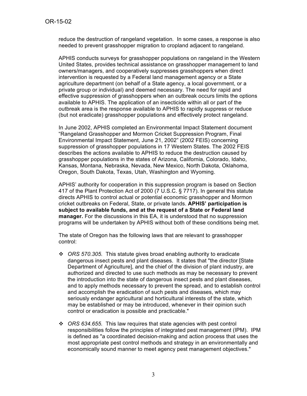reduce the destruction of rangeland vegetation. In some cases, a response is also needed to prevent grasshopper migration to cropland adjacent to rangeland.

APHIS conducts surveys for grasshopper populations on rangeland in the Western United States, provides technical assistance on grasshopper management to land owners/managers, and cooperatively suppresses grasshoppers when direct intervention is requested by a Federal land management agency or a State agriculture department (on behalf of a State agency, a local government, or a private group or individual) and deemed necessary. The need for rapid and effective suppression of grasshoppers when an outbreak occurs limits the options available to APHIS. The application of an insecticide within all or part of the outbreak area is the response available to APHIS to rapidly suppress or reduce (but not eradicate) grasshopper populations and effectively protect rangeland.

In June 2002, APHIS completed an Environmental Impact Statement document "Rangeland Grasshopper and Mormon Cricket Suppression Program, Final Environmental Impact Statement, June 21, 2002" (2002 FEIS) concerning suppression of grasshopper populations in 17 Western States. The 2002 FEIS describes the actions available to APHIS to reduce the destruction caused by grasshopper populations in the states of Arizona, California, Colorado, Idaho, Kansas, Montana, Nebraska, Nevada, New Mexico, North Dakota, Oklahoma, Oregon, South Dakota, Texas, Utah, Washington and Wyoming.

APHIS' authority for cooperation in this suppression program is based on Section 417 of the Plant Protection Act of 2000 (7 U.S.C. § 7717). In general this statute directs APHIS to control actual or potential economic grasshopper and Mormon cricket outbreaks on Federal, State, or private lands. **APHIS' participation is subject to available funds, and at the request of a State or Federal land manager.** For the discussions in this EA, it is understood that no suppression programs will be undertaken by APHIS without both of these conditions being met.

The state of Oregon has the following laws that are relevant to grasshopper control:

- ! *ORS 570.305.* This statute gives broad enabling authority to eradicate dangerous insect pests and plant diseases. It states that "the director [State Department of Agriculture], and the chief of the division of plant industry, are authorized and directed to use such methods as may be necessary to prevent the introduction into the state of dangerous insect pests and plant diseases, and to apply methods necessary to prevent the spread, and to establish control and accomplish the eradication of such pests and diseases, which may seriously endanger agricultural and horticultural interests of the state, which may be established or may be introduced, whenever in their opinion such control or eradication is possible and practicable."
- ! *ORS 634.655.* This law requires that state agencies with pest control responsibilities follow the principles of integrated pest management (IPM). IPM is defined as "a coordinated decision-making and action process that uses the most appropriate pest control methods and strategy in an environmentally and economically sound manner to meet agency pest management objectives."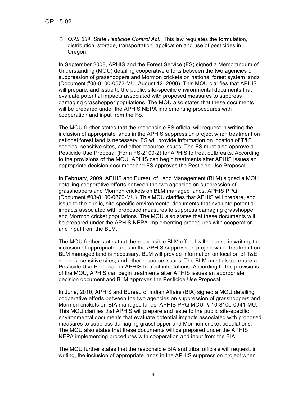! *ORS 634*, *State Pesticide Control Act.* This law regulates the formulation, distribution, storage, transportation, application and use of pesticides in Oregon.

In September 2008, APHIS and the Forest Service (FS) signed a Memorandum of Understanding (MOU) detailing cooperative efforts between the two agencies on suppression of grasshoppers and Mormon crickets on national forest system lands (Document #08-8100-0573-MU, August 12, 2008). This MOU clarifies that APHIS will prepare, and issue to the public, site-specific environmental documents that evaluate potential impacts associated with proposed measures to suppress damaging grasshopper populations. The MOU also states that these documents will be prepared under the APHIS NEPA implementing procedures with cooperation and input from the FS.

The MOU further states that the responsible FS official will request in writing the inclusion of appropriate lands in the APHIS suppression project when treatment on national forest land is necessary. FS will provide information on location of T&E species, sensitive sites, and other resource issues. The FS must also approve a Pesticide Use Proposal (Form FS-2100-2) for APHIS to treat outbreaks. According to the provisions of the MOU, APHIS can begin treatments after APHIS issues an appropriate decision document and FS approves the Pesticide Use Proposal.

In February, 2009, APHIS and Bureau of Land Management (BLM) signed a MOU detailing cooperative efforts between the two agencies on suppression of grasshoppers and Mormon crickets on BLM managed lands, APHIS PPQ (Document #03-8100-0870-MU). This MOU clarifies that APHIS will prepare, and issue to the public, site-specific environmental documents that evaluate potential impacts associated with proposed measures to suppress damaging grasshopper and Mormon cricket populations. The MOU also states that these documents will be prepared under the APHIS NEPA implementing procedures with cooperation and input from the BLM.

The MOU further states that the responsible BLM official will request, in writing, the inclusion of appropriate lands in the APHIS suppression project when treatment on BLM managed land is necessary. BLM will provide information on location of T&E species, sensitive sites, and other resource issues. The BLM must also prepare a Pesticide Use Proposal for APHIS to treat infestations. According to the provisions of the MOU, APHIS can begin treatments after APHIS issues an appropriate decision document and BLM approves the Pesticide Use Proposal.

In June, 2010, APHIS and Bureau of Indian Affairs (BIA) signed a MOU detailing cooperative efforts between the two agencies on suppression of grasshoppers and Mormon crickets on BIA managed lands, APHIS PPQ MOU # 10-8100-0941-MU. This MOU clarifies that APHIS will prepare and issue to the public site-specific environmental documents that evaluate potential impacts associated with proposed measures to suppress damaging grasshopper and Mormon cricket populations. The MOU also states that these documents will be prepared under the APHIS NEPA implementing procedures with cooperation and input from the BIA.

The MOU further states that the responsible BIA and tribal officials will request, in writing, the inclusion of appropriate lands in the APHIS suppression project when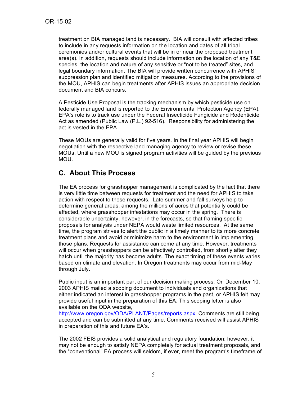treatment on BIA managed land is necessary. BIA will consult with affected tribes to include in any requests information on the location and dates of all tribal ceremonies and/or cultural events that will be in or near the proposed treatment area(s). In addition, requests should include information on the location of any T&E species, the location and nature of any sensitive or "not to be treated" sites, and legal boundary information. The BIA will provide written concurrence with APHIS' suppression plan and identified mitigation measures. According to the provisions of the MOU, APHIS can begin treatments after APHIS issues an appropriate decision document and BIA concurs.

A Pesticide Use Proposal is the tracking mechanism by which pesticide use on federally managed land is reported to the Environmental Protection Agency (EPA). EPA's role is to track use under the Federal Insecticide Fungicide and Rodenticide Act as amended (Public Law (P.L.) 92-516). Responsibility for administering the act is vested in the EPA.

These MOUs are generally valid for five years. In the final year APHIS will begin negotiation with the respective land managing agency to review or revise these MOUs. Until a new MOU is signed program activities will be guided by the previous MOU.

# **C. About This Process**

The EA process for grasshopper management is complicated by the fact that there is very little time between requests for treatment and the need for APHIS to take action with respect to those requests. Late summer and fall surveys help to determine general areas, among the millions of acres that potentially could be affected, where grasshopper infestations may occur in the spring. There is considerable uncertainty, however, in the forecasts, so that framing specific proposals for analysis under NEPA would waste limited resources. At the same time, the program strives to alert the public in a timely manner to its more concrete treatment plans and avoid or minimize harm to the environment in implementing those plans. Requests for assistance can come at any time. However, treatments will occur when grasshoppers can be effectively controlled, from shortly after they hatch until the majority has become adults. The exact timing of these events varies based on climate and elevation. In Oregon treatments may occur from mid-May through July.

Public input is an important part of our decision making process. On December 10, 2003 APHIS mailed a scoping document to individuals and organizations that either indicated an interest in grasshopper programs in the past, or APHIS felt may provide useful input in the preparation of this EA. This scoping letter is also available on the ODA website,

http://www.oregon.gov/ODA/PLANT/Pages/reports.aspx. Comments are still being accepted and can be submitted at any time. Comments received will assist APHIS in preparation of this and future EA's.

The 2002 FEIS provides a solid analytical and regulatory foundation; however, it may not be enough to satisfy NEPA completely for actual treatment proposals, and the "conventional" EA process will seldom, if ever, meet the program's timeframe of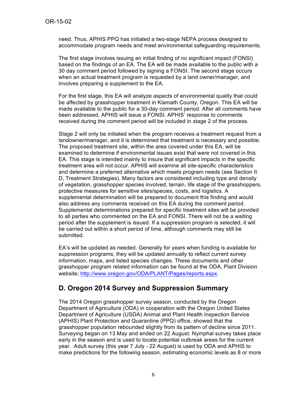need. Thus, APHIS PPQ has initiated a two-stage NEPA process designed to accommodate program needs and meet environmental safeguarding requirements.

The first stage involves issuing an initial finding of no significant impact (FONSI) based on the findings of an EA. The EA will be made available to the public with a 30 day comment period followed by signing a FONSI. The second stage occurs when an actual treatment program is requested by a land owner/manager, and involves preparing a supplement to the EA.

For the first stage, this EA will analyze aspects of environmental quality that could be affected by grasshopper treatment in Klamath County, Oregon. This EA will be made available to the public for a 30-day comment period. After all comments have been addressed, APHIS will issue a FONSI. APHIS' response to comments received during the comment period will be included in stage 2 of the process.

Stage 2 will only be initiated when the program receives a treatment request from a landowner/manager, and it is determined that treatment is necessary and possible. The proposed treatment site, within the area covered under this EA, will be examined to determine if environmental issues exist that were not covered in this EA. This stage is intended mainly to insure that significant impacts in the specific treatment area will not occur. APHIS will examine all site-specific characteristics and determine a preferred alternative which meets program needs (see Section II. D, Treatment Strategies). Many factors are considered including type and density of vegetation, grasshopper species involved, terrain, life stage of the grasshoppers, protective measures for sensitive sites/species, costs, and logistics. A supplemental determination will be prepared to document this finding and would also address any comments received on this EA during the comment period. Supplemental determinations prepared for specific treatment sites will be provided to all parties who commented on the EA and FONSI. There will not be a waiting period after the supplement is issued. If a suppression program is selected, it will be carried out within a short period of time, although comments may still be submitted.

EA's will be updated as needed. Generally for years when funding is available for suppression programs, they will be updated annually to reflect current survey information, maps, and listed species changes. These documents and other grasshopper program related information can be found at the ODA, Plant Division website; http://www.oregon.gov/ODA/PLANT/Pages/reports.aspx.

# **D. Oregon 2014 Survey and Suppression Summary**

The 2014 Oregon grasshopper survey season, conducted by the Oregon Department of Agriculture (ODA) in cooperation with the Oregon United States Department of Agriculture (USDA) Animal and Plant Health Inspection Service (APHIS) Plant Protection and Quarantine (PPQ) office, showed that the grasshopper population rebounded slightly from its pattern of decline since 2011. Surveying began on 13 May and ended on 22 August. Nymphal survey takes place early in the season and is used to locate potential outbreak areas for the current year. Adult survey (this year 7 July - 22 August) is used by ODA and APHIS to make predictions for the following season, estimating economic levels as 8 or more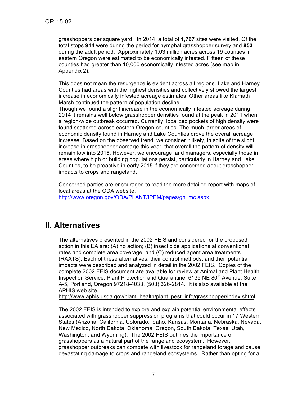grasshoppers per square yard. In 2014, a total of **1,767** sites were visited. Of the total stops **914** were during the period for nymphal grasshopper survey and **853** during the adult period. Approximately 1.03 million acres across 19 counties in eastern Oregon were estimated to be economically infested. Fifteen of these counties had greater than 10,000 economically infested acres (see map in Appendix 2).

This does not mean the resurgence is evident across all regions. Lake and Harney Counties had areas with the highest densities and collectively showed the largest increase in economically infested acreage estimates. Other areas like Klamath Marsh continued the pattern of population decline.

Though we found a slight increase in the economically infested acreage during 2014 it remains well below grasshopper densities found at the peak in 2011 when a region-wide outbreak occurred. Currently, localized pockets of high density were found scattered across eastern Oregon counties. The much larger areas of economic density found in Harney and Lake Counties drove the overall acreage increase. Based on the observed trend, we consider it likely, in spite of the slight increase in grasshopper acreage this year, that overall the pattern of density will remain low into 2015. However, we encourage land managers, especially those in areas where high or building populations persist, particularly in Harney and Lake Counties, to be proactive in early 2015 if they are concerned about grasshopper impacts to crops and rangeland.

Concerned parties are encouraged to read the more detailed report with maps of local areas at the ODA website,

http://www.oregon.gov/ODA/PLANT/IPPM/pages/gh\_mc.aspx.

# **II. Alternatives**

The alternatives presented in the 2002 FEIS and considered for the proposed action in this EA are: (A) no action; (B) insecticide applications at conventional rates and complete area coverage, and (C) reduced agent area treatments (RAATS). Each of these alternatives, their control methods, and their potential impacts were described and analyzed in detail in the 2002 FEIS. Copies of the complete 2002 FEIS document are available for review at Animal and Plant Health Inspection Service, Plant Protection and Quarantine, 6135 NE 80<sup>th</sup> Avenue, Suite A-5, Portland, Oregon 97218-4033, (503) 326-2814. It is also available at the APHIS web site,

http://www.aphis.usda.gov/plant\_health/plant\_pest\_info/grasshopper/index.shtml.

The 2002 FEIS is intended to explore and explain potential environmental effects associated with grasshopper suppression programs that could occur in 17 Western States (Arizona, California, Colorado, Idaho, Kansas, Montana, Nebraska, Nevada, New Mexico, North Dakota, Oklahoma, Oregon, South Dakota, Texas, Utah, Washington, and Wyoming). The 2002 FEIS outlines the importance of grasshoppers as a natural part of the rangeland ecosystem. However, grasshopper outbreaks can compete with livestock for rangeland forage and cause devastating damage to crops and rangeland ecosystems. Rather than opting for a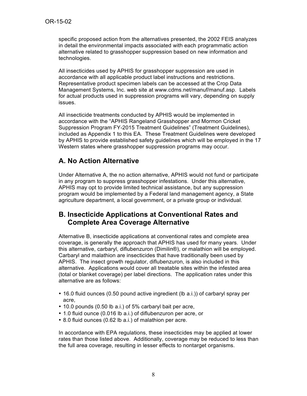specific proposed action from the alternatives presented, the 2002 FEIS analyzes in detail the environmental impacts associated with each programmatic action alternative related to grasshopper suppression based on new information and technologies.

All insecticides used by APHIS for grasshopper suppression are used in accordance with all applicable product label instructions and restrictions. Representative product specimen labels can be accessed at the Crop Data Management Systems, Inc. web site at www.cdms.net/manuf/manuf.asp. Labels for actual products used in suppression programs will vary, depending on supply issues.

All insecticide treatments conducted by APHIS would be implemented in accordance with the "APHIS Rangeland Grasshopper and Mormon Cricket Suppression Program FY-2015 Treatment Guidelines" (Treatment Guidelines), included as Appendix 1 to this EA. These Treatment Guidelines were developed by APHIS to provide established safety guidelines which will be employed in the 17 Western states where grasshopper suppression programs may occur.

# **A. No Action Alternative**

Under Alternative A, the no action alternative, APHIS would not fund or participate in any program to suppress grasshopper infestations. Under this alternative, APHIS may opt to provide limited technical assistance, but any suppression program would be implemented by a Federal land management agency, a State agriculture department, a local government, or a private group or individual.

# **B. Insecticide Applications at Conventional Rates and Complete Area Coverage Alternative**

Alternative B, insecticide applications at conventional rates and complete area coverage, is generally the approach that APHIS has used for many years. Under this alternative, carbaryl, diflubenzuron (Dimilin®), or malathion will be employed. Carbaryl and malathion are insecticides that have traditionally been used by APHIS. The insect growth regulator, diflubenzuron, is also included in this alternative. Applications would cover all treatable sites within the infested area (total or blanket coverage) per label directions. The application rates under this alternative are as follows:

- 16.0 fluid ounces (0.50 pound active ingredient (lb a.i.)) of carbaryl spray per acre,
- 10.0 pounds (0.50 lb a.i.) of 5% carbaryl bait per acre,
- 1.0 fluid ounce (0.016 lb a.i.) of diflubenzuron per acre, or
- 8.0 fluid ounces (0.62 lb a.i.) of malathion per acre.

In accordance with EPA regulations, these insecticides may be applied at lower rates than those listed above. Additionally, coverage may be reduced to less than the full area coverage, resulting in lesser effects to nontarget organisms.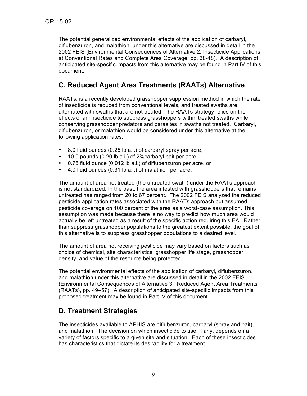The potential generalized environmental effects of the application of carbaryl, diflubenzuron, and malathion, under this alternative are discussed in detail in the 2002 FEIS (Environmental Consequences of Alternative 2: Insecticide Applications at Conventional Rates and Complete Area Coverage, pp. 38-48). A description of anticipated site-specific impacts from this alternative may be found in Part IV of this document.

# **C. Reduced Agent Area Treatments (RAATs) Alternative**

RAATs, is a recently developed grasshopper suppression method in which the rate of insecticide is reduced from conventional levels, and treated swaths are alternated with swaths that are not treated. The RAATs strategy relies on the effects of an insecticide to suppress grasshoppers within treated swaths while conserving grasshopper predators and parasites in swaths not treated. Carbaryl, diflubenzuron, or malathion would be considered under this alternative at the following application rates:

- 8.0 fluid ounces (0.25 lb a.i.) of carbaryl spray per acre,
- 10.0 pounds (0.20 lb a.i.) of 2%carbaryl bait per acre,
- 0.75 fluid ounce (0.012 lb a.i.) of diflubenzuron per acre, or
- 4.0 fluid ounces (0.31 lb a.i.) of malathion per acre.

The amount of area not treated (the untreated swath) under the RAATs approach is not standardized. In the past, the area infested with grasshoppers that remains untreated has ranged from 20 to 67 percent. The 2002 FEIS analyzed the reduced pesticide application rates associated with the RAATs approach but assumed pesticide coverage on 100 percent of the area as a worst-case assumption. This assumption was made because there is no way to predict how much area would actually be left untreated as a result of the specific action requiring this EA. Rather than suppress grasshopper populations to the greatest extent possible, the goal of this alternative is to suppress grasshopper populations to a desired level.

The amount of area not receiving pesticide may vary based on factors such as choice of chemical, site characteristics, grasshopper life stage, grasshopper density, and value of the resource being protected.

The potential environmental effects of the application of carbaryl, diflubenzuron, and malathion under this alternative are discussed in detail in the 2002 FEIS (Environmental Consequences of Alternative 3: Reduced Agent Area Treatments (RAATs), pp. 49–57). A description of anticipated site-specific impacts from this proposed treatment may be found in Part IV of this document.

# **D. Treatment Strategies**

The insecticides available to APHIS are diflubenzuron, carbaryl (spray and bait), and malathion. The decision on which insecticide to use, if any, depends on a variety of factors specific to a given site and situation. Each of these insecticides has characteristics that dictate its desirability for a treatment.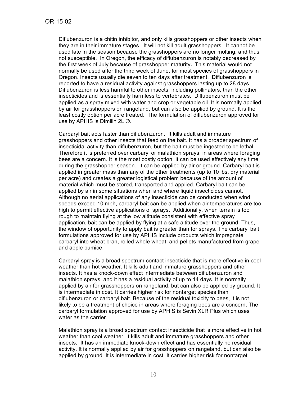Diflubenzuron is a chitin inhibitor, and only kills grasshoppers or other insects when they are in their immature stages. It will not kill adult grasshoppers. It cannot be used late in the season because the grasshoppers are no longer molting, and thus not susceptible. In Oregon, the efficacy of diflubenzuron is notably decreased by the first week of July because of grasshopper maturity**.** This material would not normally be used after the third week of June, for most species of grasshoppers in Oregon. Insects usually die seven to ten days after treatment. Diflubenzuron is reported to have a residual activity against grasshoppers lasting up to 28 days. Diflubenzuron is less harmful to other insects, including pollinators, than the other insecticides and is essentially harmless to vertebrates. Diflubenzuron must be applied as a spray mixed with water and crop or vegetable oil. It is normally applied by air for grasshoppers on rangeland, but can also be applied by ground. It is the least costly option per acre treated. The formulation of diflubenzuron approved for use by APHIS is Dimilin 2L ®.

Carbaryl bait acts faster than diflubenzuron. It kills adult and immature grasshoppers and other insects that feed on the bait. It has a broader spectrum of insecticidal activity than diflubenzuron, but the bait must be ingested to be lethal. Therefore it is preferred over carbaryl or malathion sprays, in areas where foraging bees are a concern. It is the most costly option. It can be used effectively any time during the grasshopper season. It can be applied by air or ground. Carbaryl bait is applied in greater mass than any of the other treatments (up to 10 lbs. dry material per acre) and creates a greater logistical problem because of the amount of material which must be stored, transported and applied. Carbaryl bait can be applied by air in some situations when and where liquid insecticides cannot. Although no aerial applications of any insecticide can be conducted when wind speeds exceed 10 mph, carbaryl bait can be applied when air temperatures are too high to permit effective applications of sprays. Additionally, when terrain is too rough to maintain flying at the low altitude consistent with effective spray application, bait can be applied by flying at a safe altitude over the ground. Thus, the window of opportunity to apply bait is greater than for sprays. The carbaryl bait formulations approved for use by APHIS include products which impregnate carbaryl into wheat bran, rolled whole wheat, and pellets manufactured from grape and apple pumice.

Carbaryl spray is a broad spectrum contact insecticide that is more effective in cool weather than hot weather. It kills adult and immature grasshoppers and other insects. It has a knock-down effect intermediate between diflubenzuron and malathion sprays, and it has a residual activity of up to 14 days. It is normally applied by air for grasshoppers on rangeland, but can also be applied by ground. It is intermediate in cost. It carries higher risk for nontarget species than diflubenzuron or carbaryl bait. Because of the residual toxicity to bees, it is not likely to be a treatment of choice in areas where foraging bees are a concern. The carbaryl formulation approved for use by APHIS is Sevin XLR Plus which uses water as the carrier.

Malathion spray is a broad spectrum contact insecticide that is more effective in hot weather than cool weather. It kills adult and immature grasshoppers and other insects. It has an immediate knock-down effect and has essentially no residual activity. It is normally applied by air for grasshoppers on rangeland, but can also be applied by ground. It is intermediate in cost. It carries higher risk for nontarget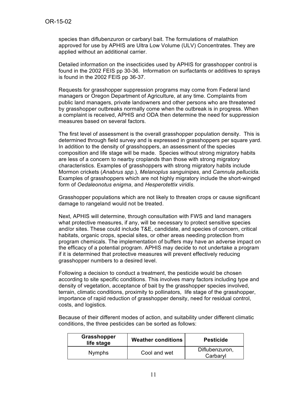species than diflubenzuron or carbaryl bait. The formulations of malathion approved for use by APHIS are Ultra Low Volume (ULV) Concentrates. They are applied without an additional carrier.

Detailed information on the insecticides used by APHIS for grasshopper control is found in the 2002 FEIS pp 30-36. Information on surfactants or additives to sprays is found in the 2002 FEIS pp 36-37.

Requests for grasshopper suppression programs may come from Federal land managers or Oregon Department of Agriculture, at any time. Complaints from public land managers, private landowners and other persons who are threatened by grasshopper outbreaks normally come when the outbreak is in progress. When a complaint is received, APHIS and ODA then determine the need for suppression measures based on several factors.

The first level of assessment is the overall grasshopper population density. This is determined through field survey and is expressed in grasshoppers per square yard. In addition to the density of grasshoppers, an assessment of the species composition and life stage will be made. Species without strong migratory habits are less of a concern to nearby croplands than those with strong migratory characteristics. Examples of grasshoppers with strong migratory habits include Mormon crickets (*Anabrus spp.*), *Melanoplus sanguinipes,* and *Camnula pellucida.* Examples of grasshoppers which are not highly migratory include the short-winged form of *Oedaleonotus enigma*, and *Hesperotettix viridis.*

Grasshopper populations which are not likely to threaten crops or cause significant damage to rangeland would not be treated.

Next, APHIS will determine, through consultation with FWS and land managers what protective measures, if any, will be necessary to protect sensitive species and/or sites. These could include T&E, candidate, and species of concern, critical habitats, organic crops, special sites, or other areas needing protection from program chemicals. The implementation of buffers may have an adverse impact on the efficacy of a potential program. APHIS may decide to not undertake a program if it is determined that protective measures will prevent effectively reducing grasshopper numbers to a desired level.

Following a decision to conduct a treatment, the pesticide would be chosen according to site specific conditions. This involves many factors including type and density of vegetation, acceptance of bait by the grasshopper species involved, terrain, climatic conditions, proximity to pollinators, life stage of the grasshopper, importance of rapid reduction of grasshopper density, need for residual control, costs, and logistics.

Because of their different modes of action, and suitability under different climatic conditions, the three pesticides can be sorted as follows:

| Grasshopper<br>life stage | <b>Weather conditions</b> | <b>Pesticide</b>           |
|---------------------------|---------------------------|----------------------------|
| <b>Nymphs</b>             | Cool and wet              | Diflubenzuron,<br>Carbaryl |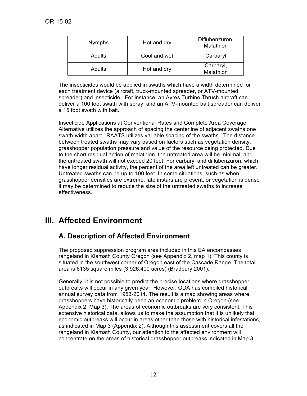| <b>Nymphs</b> | Hot and dry  | Diflubenzuron,<br>Malathion |
|---------------|--------------|-----------------------------|
| <b>Adults</b> | Cool and wet | Carbaryl                    |
| <b>Adults</b> | Hot and dry  | Carbaryl,<br>Malathion      |

The insecticides would be applied in swaths which have a width determined for each treatment device (aircraft, truck-mounted spreader, or ATV-mounted spreader) and insecticide. For instance, an Ayres Turbine Thrush aircraft can deliver a 100 foot swath with spray, and an ATV-mounted bait spreader can deliver a 15 foot swath with bait.

Insecticide Applications at Conventional Rates and Complete Area Coverage Alternative utilizes the approach of spacing the centerline of adjacent swaths one swath-width apart. RAATS utilizes variable spacing of the swaths. The distance between treated swaths may vary based on factors such as vegetation density, grasshopper population pressure and value of the resource being protected. Due to the short residual action of malathion, the untreated area will be minimal, and the untreated swath will not exceed 20 feet. For carbaryl and diflubenzuron, which have longer residual activity, the percent of the area left untreated can be greater. Untreated swaths can be up to 100 feet. In some situations, such as when grasshopper densities are extreme, late instars are present, or vegetation is dense it may be determined to reduce the size of the untreated swaths to increase effectiveness.

# **III. Affected Environment**

# **A. Description of Affected Environment**

The proposed suppression program area included in this EA encompasses rangeland in Klamath County Oregon (see Appendix 2, map 1). This county is situated in the southwest corner of Oregon east of the Cascade Range. The total area is 6135 square miles (3,926,400 acres) (Bradbury 2001).

Generally, it is not possible to predict the precise locations where grasshopper outbreaks will occur in any given year. However, ODA has compiled historical annual survey data from 1953-2014. The result is a map showing areas where grasshoppers have historically been an economic problem in Oregon (see Appendix 2, Map 3). The areas of economic outbreaks are very consistent. This extensive historical data, allows us to make the assumption that it is unlikely that economic outbreaks will occur in areas other than those with historical infestations, as indicated in Map 3 (Appendix 2). Although this assessment covers all the rangeland in Klamath County, our attention to the affected environment will concentrate on the areas of historical grasshopper outbreaks indicated in Map 3.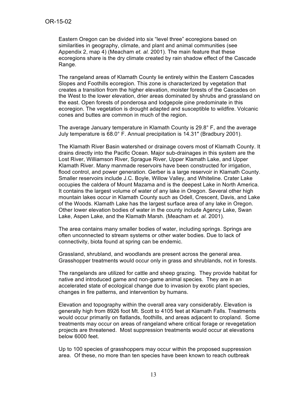Eastern Oregon can be divided into six "level three" ecoregions based on similarities in geography, climate, and plant and animal communities (see Appendix 2, map 4) (Meacham *et. al.* 2001). The main feature that these ecoregions share is the dry climate created by rain shadow effect of the Cascade Range.

The rangeland areas of Klamath County lie entirely within the Eastern Cascades Slopes and Foothills ecoregion. This zone is characterized by vegetation that creates a transition from the higher elevation, moister forests of the Cascades on the West to the lower elevation, drier areas dominated by shrubs and grassland on the east. Open forests of ponderosa and lodgepole pine predominate in this ecoregion. The vegetation is drought adapted and susceptible to wildfire. Volcanic cones and buttes are common in much of the region.

The average January temperature in Klamath County is 29.8° F, and the average July temperature is 68.0° F. Annual precipitation is 14.31″ (Bradbury 2001).

The Klamath River Basin watershed or drainage covers most of Klamath County. It drains directly into the Pacific Ocean. Major sub-drainages in this system are the Lost River, Williamson River, Sprague River, Upper Klamath Lake, and Upper Klamath River. Many manmade reservoirs have been constructed for irrigation, flood control, and power generation. Gerber is a large reservoir in Klamath County. Smaller reservoirs include J.C. Boyle, Willow Valley, and Whiteline. Crater Lake occupies the caldera of Mount Mazama and is the deepest Lake in North America. It contains the largest volume of water of any lake in Oregon. Several other high mountain lakes occur in Klamath County such as Odell, Crescent, Davis, and Lake of the Woods. Klamath Lake has the largest surface area of any lake in Oregon. Other lower elevation bodies of water in the county include Agency Lake, Swan Lake, Aspen Lake, and the Klamath Marsh. (Meacham *et. al.* 2001)*.*

The area contains many smaller bodies of water, including springs. Springs are often unconnected to stream systems or other water bodies. Due to lack of connectivity, biota found at spring can be endemic.

Grassland, shrubland, and woodlands are present across the general area. Grasshopper treatments would occur only in grass and shrublands, not in forests.

The rangelands are utilized for cattle and sheep grazing. They provide habitat for native and introduced game and non-game animal species. They are in an accelerated state of ecological change due to invasion by exotic plant species, changes in fire patterns, and intervention by humans.

Elevation and topography within the overall area vary considerably. Elevation is generally high from 8926 foot Mt. Scott to 4105 feet at Klamath Falls. Treatments would occur primarily on flatlands, foothills, and areas adjacent to cropland. Some treatments may occur on areas of rangeland where critical forage or revegetation projects are threatened. Most suppression treatments would occur at elevations below 6000 feet.

Up to 100 species of grasshoppers may occur within the proposed suppression area. Of these, no more than ten species have been known to reach outbreak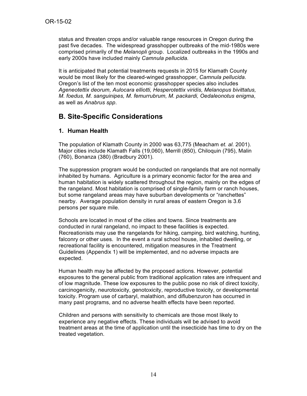status and threaten crops and/or valuable range resources in Oregon during the past five decades. The widespread grasshopper outbreaks of the mid-1980s were comprised primarily of the *Melanopli* group. Localized outbreaks in the 1990s and early 2000s have included mainly *Camnula pellucida.*

It is anticipated that potential treatments requests in 2015 for Klamath County would be most likely for the cleared-winged grasshopper, *Camnula pellucida.* Oregon's list of the ten most economic grasshopper species also includes *Ageneotettix deorum, Aulocara elliotti, Hesperotettix viridis, Melanopus bivittatus, M. foedus, M. sanguinipes, M. femurrubrum, M. packardi, Oedaleonotus enigma*, as well as *Anabrus spp*.

# **B. Site-Specific Considerations**

## **1. Human Health**

The population of Klamath County in 2000 was 63,775 (Meacham *et. al.* 2001). Major cities include Klamath Falls (19,060), Merrill (850), Chiloquin (795), Malin (760), Bonanza (380) (Bradbury 2001).

The suppression program would be conducted on rangelands that are not normally inhabited by humans. Agriculture is a primary economic factor for the area and human habitation is widely scattered throughout the region, mainly on the edges of the rangeland. Most habitation is comprised of single-family farm or ranch houses, but some rangeland areas may have suburban developments or "ranchettes" nearby. Average population density in rural areas of eastern Oregon is 3.6 persons per square mile.

Schools are located in most of the cities and towns. Since treatments are conducted in rural rangeland, no impact to these facilities is expected. Recreationists may use the rangelands for hiking, camping, bird watching, hunting, falconry or other uses. In the event a rural school house, inhabited dwelling, or recreational facility is encountered, mitigation measures in the Treatment Guidelines (Appendix 1) will be implemented, and no adverse impacts are expected.

Human health may be affected by the proposed actions. However, potential exposures to the general public from traditional application rates are infrequent and of low magnitude. These low exposures to the public pose no risk of direct toxicity, carcinogenicity, neurotoxicity, genotoxicity, reproductive toxicity, or developmental toxicity. Program use of carbaryl, malathion, and diflubenzuron has occurred in many past programs, and no adverse health effects have been reported.

Children and persons with sensitivity to chemicals are those most likely to experience any negative effects. These individuals will be advised to avoid treatment areas at the time of application until the insecticide has time to dry on the treated vegetation.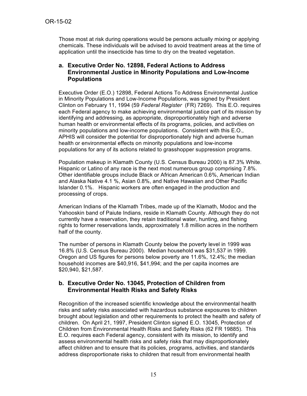Those most at risk during operations would be persons actually mixing or applying chemicals. These individuals will be advised to avoid treatment areas at the time of application until the insecticide has time to dry on the treated vegetation.

### **a. Executive Order No. 12898, Federal Actions to Address Environmental Justice in Minority Populations and Low-Income Populations**

Executive Order (E.O.) 12898, Federal Actions To Address Environmental Justice in Minority Populations and Low-Income Populations, was signed by President Clinton on February 11, 1994 (59 *Federal Register* (FR) 7269). This E.O. requires each Federal agency to make achieving environmental justice part of its mission by identifying and addressing, as appropriate, disproportionately high and adverse human health or environmental effects of its programs, policies, and activities on minority populations and low-income populations. Consistent with this E.O., APHIS will consider the potential for disproportionately high and adverse human health or environmental effects on minority populations and low-income populations for any of its actions related to grasshopper suppression programs.

Population makeup in Klamath County (U.S. Census Bureau 2000) is 87.3% White. Hispanic or Latino of any race is the next most numerous group comprising 7.8%. Other identifiable groups include Black or African American 0.6%, American Indian and Alaska Native 4.1 %, Asian 0.8%, and Native Hawaiian and Other Pacific Islander 0.1%. Hispanic workers are often engaged in the production and processing of crops.

American Indians of the Klamath Tribes, made up of the Klamath, Modoc and the Yahooskin band of Paiute Indians, reside in Klamath County. Although they do not currently have a reservation, they retain traditional water, hunting, and fishing rights to former reservations lands, approximately 1.8 million acres in the northern half of the county.

The number of persons in Klamath County below the poverty level in 1999 was 16.8% (U.S. Census Bureau 2000). Median household was \$31,537 in 1999. Oregon and US figures for persons below poverty are 11.6%, 12.4%; the median household incomes are \$40,916, \$41,994; and the per capita incomes are \$20,940, \$21,587.

#### **b. Executive Order No. 13045, Protection of Children from Environmental Health Risks and Safety Risks**

Recognition of the increased scientific knowledge about the environmental health risks and safety risks associated with hazardous substance exposures to children brought about legislation and other requirements to protect the health and safety of children. On April 21, 1997, President Clinton signed E.O. 13045, Protection of Children from Environmental Health Risks and Safety Risks (62 FR 19885). This E.O. requires each Federal agency, consistent with its mission, to identify and assess environmental health risks and safety risks that may disproportionately affect children and to ensure that its policies, programs, activities, and standards address disproportionate risks to children that result from environmental health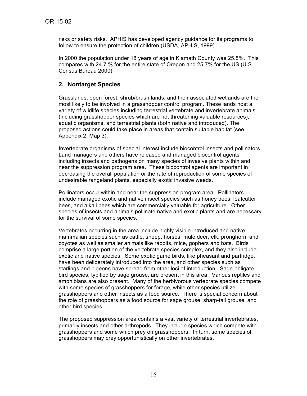risks or safety risks. APHIS has developed agency guidance for its programs to follow to ensure the protection of children (USDA, APHIS, 1999).

In 2000 the population under 18 years of age in Klamath County was 25.8%. This compares with 24.7 % for the entire state of Oregon and 25.7% for the US (U.S. Census Bureau 2000).

### **2. Nontarget Species**

Grasslands, open forest, shrub/brush lands, and their associated wetlands are the most likely to be involved in a grasshopper control program. These lands host a variety of wildlife species including terrestrial vertebrate and invertebrate animals (including grasshopper species which are not threatening valuable resources), aquatic organisms, and terrestrial plants (both native and introduced). The proposed actions could take place in areas that contain suitable habitat (see Appendix 2, Map 3).

Invertebrate organisms of special interest include biocontrol insects and pollinators. Land managers and others have released and managed biocontrol agents including insects and pathogens on many species of invasive plants within and near the suppression program area. These biocontrol agents are important in decreasing the overall population or the rate of reproduction of some species of undesirable rangeland plants, especially exotic invasive weeds.

Pollinators occur within and near the suppression program area. Pollinators include managed exotic and native insect species such as honey bees, leafcutter bees, and alkali bees which are commercially valuable for agriculture. Other species of insects and animals pollinate native and exotic plants and are necessary for the survival of some species.

Vertebrates occurring in the area include highly visible introduced and native mammalian species such as cattle, sheep, horses, mule deer, elk, pronghorn, and coyotes as well as smaller animals like rabbits, mice, gophers and bats. Birds comprise a large portion of the vertebrate species complex, and they also include exotic and native species. Some exotic game birds, like pheasant and partridge, have been deliberately introduced into the area, and other species such as starlings and pigeons have spread from other loci of introduction. Sage-obligate bird species, typified by sage grouse, are present in this area. Various reptiles and amphibians are also present. Many of the herbivorous vertebrate species compete with some species of grasshoppers for forage, while other species utilize grasshoppers and other insects as a food source. There is special concern about the role of grasshoppers as a food source for sage grouse, sharp-tail grouse, and other bird species.

The proposed suppression area contains a vast variety of terrestrial invertebrates, primarily insects and other arthropods. They include species which compete with grasshoppers and some which prey on grasshoppers. In turn, some species of grasshoppers may prey opportunistically on other invertebrates.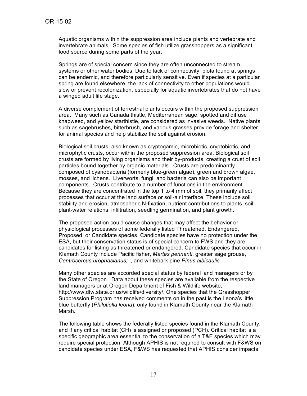Aquatic organisms within the suppression area include plants and vertebrate and invertebrate animals. Some species of fish utilize grasshoppers as a significant food source during some parts of the year.

Springs are of special concern since they are often unconnected to stream systems or other water bodies. Due to lack of connectivity, biota found at springs can be endemic, and therefore particularly sensitive. Even if species at a particular spring are found elsewhere, the lack of connectivity to other populations would slow or prevent recolonization, especially for aquatic invertebrates that do not have a winged adult life stage.

A diverse complement of terrestrial plants occurs within the proposed suppression area. Many such as Canada thistle, Mediterranean sage, spotted and diffuse knapweed, and yellow starthistle, are considered as invasive weeds. Native plants such as sagebrushes, bitterbrush, and various grasses provide forage and shelter for animal species and help stabilize the soil against erosion.

Biological soil crusts, also known as cryptogamic, microbiotic, cryptobiotic, and microphytic crusts, occur within the proposed suppression area. Biological soil crusts are formed by living organisms and their by-products, creating a crust of soil particles bound together by organic materials. Crusts are predominantly composed of cyanobacteria (formerly blue-green algae), green and brown algae, mosses, and lichens. Liverworts, fungi, and bacteria can also be important components. Crusts contribute to a number of functions in the environment. Because they are concentrated in the top 1 to 4 mm of soil, they primarily affect processes that occur at the land surface or soil-air interface. These include soil stability and erosion, atmospheric N-fixation, nutrient contributions to plants, soilplant-water relations, infiltration, seedling germination, and plant growth.

The proposed action could cause changes that may affect the behavior or physiological processes of some federally listed Threatened, Endangered, Proposed, or Candidate species. Candidate species have no protection under the ESA, but their conservation status is of special concern to FWS and they are candidates for listing as threatened or endangered. Candidate species that occur in Klamath County include Pacific fisher, *Martes pennanti*, greater sage grouse, *Centrocercus urophasianus;* , and whitebark pine *Pinus albicaulis.*

Many other species are accorded special status by federal land managers or by the State of Oregon. Data about these species are available from the respective land managers or at Oregon Department of Fish & Wildlife website, http://www.dfw.state.or.us/wildlife/diversity/. One species that the Grasshopper Suppression Program has received comments on in the past is the Leona's little blue butterfly (*Philotiella leona*), only found in Klamath County near the Klamath Marsh.

The following table shows the federally listed species found in the Klamath County, and if any critical habitat (CH) is assigned or proposed (PCH). Critical habitat is a specific geographic area essential to the conservation of a T&E species which may require special protection. Although APHIS is not required to consult with F&WS on candidate species under ESA, F&WS has requested that APHIS consider impacts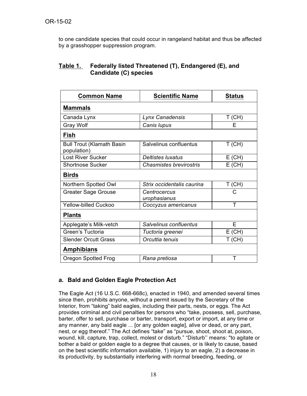to one candidate species that could occur in rangeland habitat and thus be affected by a grasshopper suppression program.

### **Table 1. Federally listed Threatened (T), Endangered (E), and Candidate (C) species**

| <b>Common Name</b>                              | <b>Scientific Name</b>         | <b>Status</b> |
|-------------------------------------------------|--------------------------------|---------------|
| <b>Mammals</b>                                  |                                |               |
| Canada Lynx                                     | Lynx Canadensis                | $T$ (CH)      |
| <b>Gray Wolf</b>                                | Canis lupus                    | Е             |
| Fish                                            |                                |               |
| <b>Bull Trout (Klamath Basin</b><br>population) | Salvelinus confluentus         | $T$ (CH)      |
| <b>Lost River Sucker</b>                        | <b>Deltistes luxatus</b>       | $E$ (CH)      |
| <b>Shortnose Sucker</b>                         | <b>Chasmistes brevirostris</b> | $E$ (CH)      |
| <b>Birds</b>                                    |                                |               |
| Northern Spotted Owl                            | Strix occidentalis caurina     | $T$ (CH)      |
| <b>Greater Sage Grouse</b>                      | Centrocercus<br>urophasianus   | C             |
| <b>Yellow-billed Cuckoo</b>                     | Coccyzus americanus            | Τ             |
| <b>Plants</b>                                   |                                |               |
| Applegate's Milk-vetch                          | Salvelinus confluentus         | E             |
| Green's Tuctoria                                | Tuctoria greenei               | $E$ (CH)      |
| <b>Slender Orcutt Grass</b>                     | Orcuttia tenuis                | $T$ (CH)      |
| <b>Amphibians</b>                               |                                |               |
| <b>Oregon Spotted Frog</b>                      | Rana pretiosa                  | Т             |

## **a. Bald and Golden Eagle Protection Act**

The Eagle Act (16 U.S.C. 668-668c), enacted in 1940, and amended several times since then, prohibits anyone, without a permit issued by the Secretary of the Interior, from "taking" bald eagles, including their parts, nests, or eggs. The Act provides criminal and civil penalties for persons who "take, possess, sell, purchase, barter, offer to sell, purchase or barter, transport, export or import, at any time or any manner, any bald eagle ... [or any golden eagle], alive or dead, or any part, nest, or egg thereof." The Act defines "take" as "pursue, shoot, shoot at, poison, wound, kill, capture, trap, collect, molest or disturb." "Disturb'' means: "to agitate or bother a bald or golden eagle to a degree that causes, or is likely to cause, based on the best scientific information available, 1) injury to an eagle, 2) a decrease in its productivity, by substantially interfering with normal breeding, feeding, or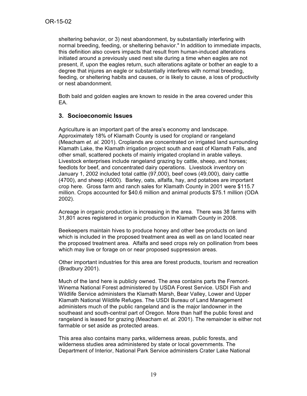sheltering behavior, or 3) nest abandonment, by substantially interfering with normal breeding, feeding, or sheltering behavior." In addition to immediate impacts, this definition also covers impacts that result from human-induced alterations initiated around a previously used nest site during a time when eagles are not present, if, upon the eagles return, such alterations agitate or bother an eagle to a degree that injures an eagle or substantially interferes with normal breeding, feeding, or sheltering habits and causes, or is likely to cause, a loss of productivity or nest abandonment.

Both bald and golden eagles are known to reside in the area covered under this EA.

#### **3. Socioeconomic Issues**

Agriculture is an important part of the area's economy and landscape. Approximately 18% of Klamath County is used for cropland or rangeland (Meacham *et. al.* 2001). Croplands are concentrated on irrigated land surrounding Klamath Lake, the Klamath irrigation project south and east of Klamath Falls, and other small, scattered pockets of mainly irrigated cropland in arable valleys. Livestock enterprises include rangeland grazing by cattle, sheep, and horses; feedlots for beef, and concentrated dairy operations. Livestock inventory on January 1, 2002 included total cattle (97,000), beef cows (49,000), dairy cattle (4700), and sheep (4000). Barley, oats, alfalfa, hay, and potatoes are important crop here. Gross farm and ranch sales for Klamath County in 2001 were \$115.7 million. Crops accounted for \$40.6 million and animal products \$75.1 million (ODA 2002).

Acreage in organic production is increasing in the area. There was 38 farms with 31,801 acres registered in organic production in Klamath County in 2008.

Beekeepers maintain hives to produce honey and other bee products on land which is included in the proposed treatment area as well as on land located near the proposed treatment area. Alfalfa and seed crops rely on pollination from bees which may live or forage on or near proposed suppression areas.

Other important industries for this area are forest products, tourism and recreation (Bradbury 2001).

Much of the land here is publicly owned. The area contains parts the Fremont-Winema National Forest administered by USDA Forest Service. USDI Fish and Wildlife Service administers the Klamath Marsh, Bear Valley, Lower and Upper Klamath National Wildlife Refuges. The USDI Bureau of Land Management administers much of the public rangeland and is the major landowner in the southeast and south-central part of Oregon. More than half the public forest and rangeland is leased for grazing (Meacham *et. al.* 2001). The remainder is either not farmable or set aside as protected areas.

This area also contains many parks, wilderness areas, public forests, and wilderness studies area administered by state or local governments. The Department of Interior, National Park Service administers Crater Lake National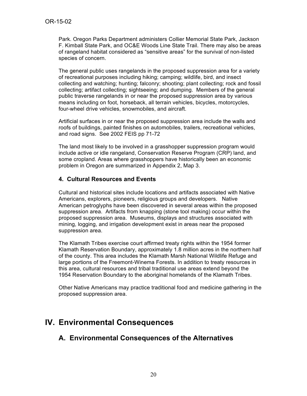Park. Oregon Parks Department administers Collier Memorial State Park, Jackson F. Kimball State Park, and OC&E Woods Line State Trail. There may also be areas of rangeland habitat considered as "sensitive areas" for the survival of non-listed species of concern.

The general public uses rangelands in the proposed suppression area for a variety of recreational purposes including hiking; camping; wildlife, bird, and insect collecting and watching; hunting; falconry; shooting; plant collecting; rock and fossil collecting; artifact collecting; sightseeing; and dumping. Members of the general public traverse rangelands in or near the proposed suppression area by various means including on foot, horseback, all terrain vehicles, bicycles, motorcycles, four-wheel drive vehicles, snowmobiles, and aircraft.

Artificial surfaces in or near the proposed suppression area include the walls and roofs of buildings, painted finishes on automobiles, trailers, recreational vehicles, and road signs. See 2002 FEIS pp 71-72

The land most likely to be involved in a grasshopper suppression program would include active or idle rangeland, Conservation Reserve Program (CRP) land, and some cropland. Areas where grasshoppers have historically been an economic problem in Oregon are summarized in Appendix 2, Map 3.

### **4. Cultural Resources and Events**

Cultural and historical sites include locations and artifacts associated with Native Americans, explorers, pioneers, religious groups and developers. Native American petroglyphs have been discovered in several areas within the proposed suppression area. Artifacts from knapping (stone tool making) occur within the proposed suppression area. Museums, displays and structures associated with mining, logging, and irrigation development exist in areas near the proposed suppression area.

The Klamath Tribes exercise court affirmed treaty rights within the 1954 former Klamath Reservation Boundary, approximately 1.8 million acres in the northern half of the county. This area includes the Klamath Marsh National Wildlife Refuge and large portions of the Freemont-Winema Forests. In addition to treaty resources in this area, cultural resources and tribal traditional use areas extend beyond the 1954 Reservation Boundary to the aboriginal homelands of the Klamath Tribes.

Other Native Americans may practice traditional food and medicine gathering in the proposed suppression area.

# **IV. Environmental Consequences**

## **A. Environmental Consequences of the Alternatives**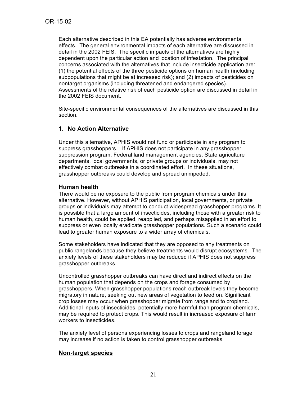Each alternative described in this EA potentially has adverse environmental effects. The general environmental impacts of each alternative are discussed in detail in the 2002 FEIS. The specific impacts of the alternatives are highly dependent upon the particular action and location of infestation. The principal concerns associated with the alternatives that include insecticide application are: (1) the potential effects of the three pesticide options on human health (including subpopulations that might be at increased risk); and (2) impacts of pesticides on nontarget organisms (including threatened and endangered species). Assessments of the relative risk of each pesticide option are discussed in detail in the 2002 FEIS document.

Site-specific environmental consequences of the alternatives are discussed in this section.

### **1. No Action Alternative**

Under this alternative, APHIS would not fund or participate in any program to suppress grasshoppers. If APHIS does not participate in any grasshopper suppression program, Federal land management agencies, State agriculture departments, local governments, or private groups or individuals, may not effectively combat outbreaks in a coordinated effort. In these situations, grasshopper outbreaks could develop and spread unimpeded.

#### **Human health**

There would be no exposure to the public from program chemicals under this alternative. However, without APHIS participation, local governments, or private groups or individuals may attempt to conduct widespread grasshopper programs. It is possible that a large amount of insecticides, including those with a greater risk to human health, could be applied, reapplied, and perhaps misapplied in an effort to suppress or even locally eradicate grasshopper populations. Such a scenario could lead to greater human exposure to a wider array of chemicals.

Some stakeholders have indicated that they are opposed to any treatments on public rangelands because they believe treatments would disrupt ecosystems. The anxiety levels of these stakeholders may be reduced if APHIS does not suppress grasshopper outbreaks.

Uncontrolled grasshopper outbreaks can have direct and indirect effects on the human population that depends on the crops and forage consumed by grasshoppers. When grasshopper populations reach outbreak levels they become migratory in nature, seeking out new areas of vegetation to feed on. Significant crop losses may occur when grasshopper migrate from rangeland to cropland. Additional inputs of insecticides, potentially more harmful than program chemicals, may be required to protect crops. This would result in increased exposure of farm workers to insecticides.

The anxiety level of persons experiencing losses to crops and rangeland forage may increase if no action is taken to control grasshopper outbreaks.

### **Non-target species**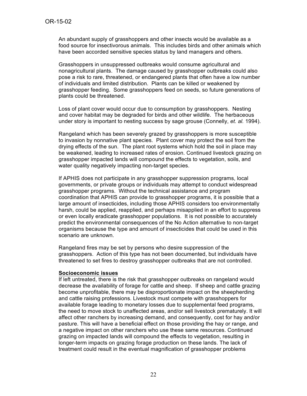An abundant supply of grasshoppers and other insects would be available as a food source for insectivorous animals. This includes birds and other animals which have been accorded sensitive species status by land managers and others.

Grasshoppers in unsuppressed outbreaks would consume agricultural and nonagricultural plants. The damage caused by grasshopper outbreaks could also pose a risk to rare, threatened, or endangered plants that often have a low number of individuals and limited distribution. Plants can be killed or weakened by grasshopper feeding. Some grasshoppers feed on seeds, so future generations of plants could be threatened.

Loss of plant cover would occur due to consumption by grasshoppers. Nesting and cover habitat may be degraded for birds and other wildlife. The herbaceous under story is important to nesting success by sage grouse (Connelly, *et. al.* 1994).

Rangeland which has been severely grazed by grasshoppers is more susceptible to invasion by nonnative plant species. Plant cover may protect the soil from the drying effects of the sun. The plant root systems which hold the soil in place may be weakened, leading to increased rates of erosion. Continued livestock grazing on grasshopper impacted lands will compound the effects to vegetation, soils, and water quality negatively impacting non-target species.

If APHIS does not participate in any grasshopper suppression programs, local governments, or private groups or individuals may attempt to conduct widespread grasshopper programs. Without the technical assistance and program coordination that APHIS can provide to grasshopper programs, it is possible that a large amount of insecticides, including those APHIS considers too environmentally harsh, could be applied, reapplied, and perhaps misapplied in an effort to suppress or even locally eradicate grasshopper populations. It is not possible to accurately predict the environmental consequences of the No Action alternative to non-target organisms because the type and amount of insecticides that could be used in this scenario are unknown.

Rangeland fires may be set by persons who desire suppression of the grasshoppers. Action of this type has not been documented, but individuals have threatened to set fires to destroy grasshopper outbreaks that are not controlled.

#### **Socioeconomic issues**

If left untreated, there is the risk that grasshopper outbreaks on rangeland would decrease the availability of forage for cattle and sheep. If sheep and cattle grazing become unprofitable, there may be disproportionate impact on the sheepherding and cattle raising professions. Livestock must compete with grasshoppers for available forage leading to monetary losses due to supplemental feed programs, the need to move stock to unaffected areas, and/or sell livestock prematurely. It will affect other ranchers by increasing demand, and consequently, cost for hay and/or pasture. This will have a beneficial effect on those providing the hay or range, and a negative impact on other ranchers who use these same resources. Continued grazing on impacted lands will compound the effects to vegetation, resulting in longer-term impacts on grazing forage production on these lands. The lack of treatment could result in the eventual magnification of grasshopper problems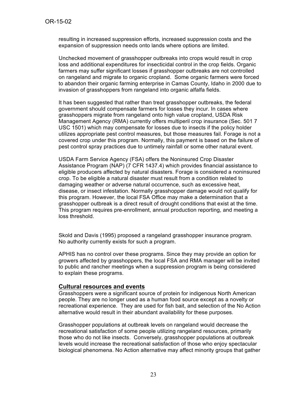resulting in increased suppression efforts, increased suppression costs and the expansion of suppression needs onto lands where options are limited.

Unchecked movement of grasshopper outbreaks into crops would result in crop loss and additional expenditures for insecticidal control in the crop fields. Organic farmers may suffer significant losses if grasshopper outbreaks are not controlled on rangeland and migrate to organic cropland. Some organic farmers were forced to abandon their organic farming enterprise in Camas County, Idaho in 2000 due to invasion of grasshoppers from rangeland into organic alfalfa fields.

It has been suggested that rather than treat grasshopper outbreaks, the federal government should compensate farmers for losses they incur. In cases where grasshoppers migrate from rangeland onto high value cropland, USDA Risk Management Agency (RMA) currently offers multiperil crop insurance (Sec. 501 7 USC 1501) which may compensate for losses due to insects if the policy holder utilizes appropriate pest control measures, but those measures fail. Forage is not a covered crop under this program. Normally, this payment is based on the failure of pest control spray practices due to untimely rainfall or some other natural event.

USDA Farm Service Agency (FSA) offers the Noninsured Crop Disaster Assistance Program (NAP) (7 CFR 1437.4) which provides financial assistance to eligible producers affected by natural disasters. Forage is considered a noninsured crop. To be eligible a natural disaster must result from a condition related to damaging weather or adverse natural occurrence, such as excessive heat, disease, or insect infestation. Normally grasshopper damage would not qualify for this program. However, the local FSA Office may make a determination that a grasshopper outbreak is a direct result of drought conditions that exist at the time. This program requires pre-enrollment, annual production reporting, and meeting a loss threshold.

Skold and Davis (1995) proposed a rangeland grasshopper insurance program. No authority currently exists for such a program.

APHIS has no control over these programs. Since they may provide an option for growers affected by grasshoppers, the local FSA and RMA manager will be invited to public and rancher meetings when a suppression program is being considered to explain these programs.

#### **Cultural resources and events**

Grasshoppers were a significant source of protein for indigenous North American people. They are no longer used as a human food source except as a novelty or recreational experience. They are used for fish bait, and selection of the No Action alternative would result in their abundant availability for these purposes.

Grasshopper populations at outbreak levels on rangeland would decrease the recreational satisfaction of some people utilizing rangeland resources, primarily those who do not like insects. Conversely, grasshopper populations at outbreak levels would increase the recreational satisfaction of those who enjoy spectacular biological phenomena. No Action alternative may affect minority groups that gather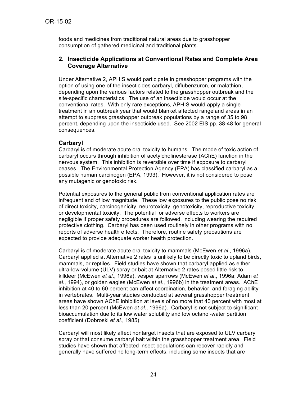foods and medicines from traditional natural areas due to grasshopper consumption of gathered medicinal and traditional plants.

### **2. Insecticide Applications at Conventional Rates and Complete Area Coverage Alternative**

Under Alternative 2, APHIS would participate in grasshopper programs with the option of using one of the insecticides carbaryl, diflubenzuron, or malathion, depending upon the various factors related to the grasshopper outbreak and the site-specific characteristics. The use of an insecticide would occur at the conventional rates. With only rare exceptions, APHIS would apply a single treatment in an outbreak year that would blanket affected rangeland areas in an attempt to suppress grasshopper outbreak populations by a range of 35 to 98 percent, depending upon the insecticide used. See 2002 EIS pp. 38-48 for general consequences.

### **Carbaryl**

Carbaryl is of moderate acute oral toxicity to humans. The mode of toxic action of carbaryl occurs through inhibition of acetylcholinesterase (AChE) function in the nervous system. This inhibition is reversible over time if exposure to carbaryl ceases. The Environmental Protection Agency (EPA) has classified carbaryl as a possible human carcinogen (EPA, 1993). However, it is not considered to pose any mutagenic or genotoxic risk.

Potential exposures to the general public from conventional application rates are infrequent and of low magnitude. These low exposures to the public pose no risk of direct toxicity, carcinogenicity, neurotoxicity, genotoxicity, reproductive toxicity, or developmental toxicity. The potential for adverse effects to workers are negligible if proper safety procedures are followed, including wearing the required protective clothing. Carbaryl has been used routinely in other programs with no reports of adverse health effects. Therefore, routine safety precautions are expected to provide adequate worker health protection.

Carbaryl is of moderate acute oral toxicity to mammals (McEwen *et al*., 1996a). Carbaryl applied at Alternative 2 rates is unlikely to be directly toxic to upland birds, mammals, or reptiles. Field studies have shown that carbaryl applied as either ultra-low-volume (ULV) spray or bait at Alternative 2 rates posed little risk to killdeer (McEwen *et al*., 1996a), vesper sparrows (McEwen *et al*., 1996a; Adam *et al*., 1994), or golden eagles (McEwen *et al*., 1996b) in the treatment areas. AChE inhibition at 40 to 60 percent can affect coordination, behavior, and foraging ability in vertebrates. Multi-year studies conducted at several grasshopper treatment areas have shown AChE inhibition at levels of no more that 40 percent with most at less than 20 percent (McEwen *et al*., 1996a). Carbaryl is not subject to significant bioaccumulation due to its low water solubility and low octanol-water partition coefficient (Dobroski *et al*., 1985).

Carbaryl will most likely affect nontarget insects that are exposed to ULV carbaryl spray or that consume carbaryl bait within the grasshopper treatment area. Field studies have shown that affected insect populations can recover rapidly and generally have suffered no long-term effects, including some insects that are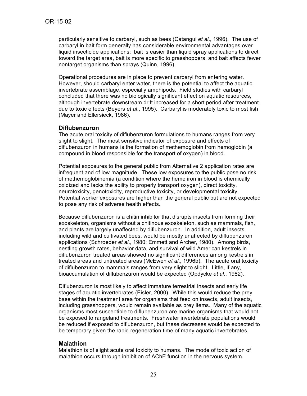particularly sensitive to carbaryl, such as bees (Catangui *et al*., 1996). The use of carbaryl in bait form generally has considerable environmental advantages over liquid insecticide applications: bait is easier than liquid spray applications to direct toward the target area, bait is more specific to grasshoppers, and bait affects fewer nontarget organisms than sprays (Quinn, 1996).

Operational procedures are in place to prevent carbaryl from entering water. However, should carbaryl enter water, there is the potential to affect the aquatic invertebrate assemblage, especially amphipods. Field studies with carbaryl concluded that there was no biologically significant effect on aquatic resources, although invertebrate downstream drift increased for a short period after treatment due to toxic effects (Beyers *et al*., 1995). Carbaryl is moderately toxic to most fish (Mayer and Ellersieck, 1986).

#### **Diflubenzuron**

The acute oral toxicity of diflubenzuron formulations to humans ranges from very slight to slight. The most sensitive indicator of exposure and effects of diflubenzuron in humans is the formation of methemoglobin from hemoglobin (a compound in blood responsible for the transport of oxygen) in blood.

Potential exposures to the general public from Alternative 2 application rates are infrequent and of low magnitude. These low exposures to the public pose no risk of methemoglobinemia (a condition where the heme iron in blood is chemically oxidized and lacks the ability to properly transport oxygen), direct toxicity, neurotoxicity, genotoxicity, reproductive toxicity, or developmental toxicity. Potential worker exposures are higher than the general public but are not expected to pose any risk of adverse health effects.

Because diflubenzuron is a chitin inhibitor that disrupts insects from forming their exoskeleton, organisms without a chitinous exoskeleton, such as mammals, fish, and plants are largely unaffected by diflubenzuron. In addition, adult insects, including wild and cultivated bees, would be mostly unaffected by diflubenzuron applications (Schroeder *et al*., 1980; Emmett and Archer, 1980). Among birds, nestling growth rates, behavior data, and survival of wild American kestrels in diflubenzuron treated areas showed no significant differences among kestrels in treated areas and untreated areas (McEwen *et al*., 1996b). The acute oral toxicity of diflubenzuron to mammals ranges from very slight to slight. Little, if any, bioaccumulation of diflubenzuron would be expected (Opdycke *et al*., 1982).

Diflubenzuron is most likely to affect immature terrestrial insects and early life stages of aquatic invertebrates (Eisler, 2000). While this would reduce the prey base within the treatment area for organisms that feed on insects, adult insects, including grasshoppers, would remain available as prey items. Many of the aquatic organisms most susceptible to diflubenzuron are marine organisms that would not be exposed to rangeland treatments. Freshwater invertebrate populations would be reduced if exposed to diflubenzuron, but these decreases would be expected to be temporary given the rapid regeneration time of many aquatic invertebrates.

#### **Malathion**

Malathion is of slight acute oral toxicity to humans. The mode of toxic action of malathion occurs through inhibition of AChE function in the nervous system.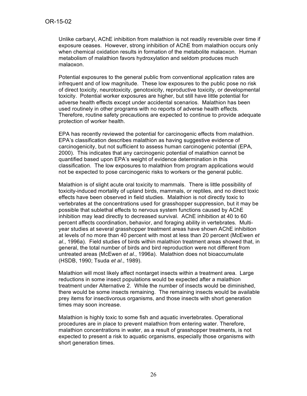Unlike carbaryl, AChE inhibition from malathion is not readily reversible over time if exposure ceases. However, strong inhibition of AChE from malathion occurs only when chemical oxidation results in formation of the metabolite malaoxon. Human metabolism of malathion favors hydroxylation and seldom produces much malaoxon.

Potential exposures to the general public from conventional application rates are infrequent and of low magnitude. These low exposures to the public pose no risk of direct toxicity, neurotoxicity, genotoxicity, reproductive toxicity, or developmental toxicity. Potential worker exposures are higher, but still have little potential for adverse health effects except under accidental scenarios. Malathion has been used routinely in other programs with no reports of adverse health effects. Therefore, routine safety precautions are expected to continue to provide adequate protection of worker health.

EPA has recently reviewed the potential for carcinogenic effects from malathion. EPA's classification describes malathion as having suggestive evidence of carcinogenicity, but not sufficient to assess human carcinogenic potential (EPA, 2000). This indicates that any carcinogenic potential of malathion cannot be quantified based upon EPA's weight of evidence determination in this classification. The low exposures to malathion from program applications would not be expected to pose carcinogenic risks to workers or the general public.

Malathion is of slight acute oral toxicity to mammals. There is little possibility of toxicity-induced mortality of upland birds, mammals, or reptiles, and no direct toxic effects have been observed in field studies. Malathion is not directly toxic to vertebrates at the concentrations used for grasshopper suppression, but it may be possible that sublethal effects to nervous system functions caused by AChE inhibition may lead directly to decreased survival. AChE inhibition at 40 to 60 percent affects coordination, behavior, and foraging ability in vertebrates. Multiyear studies at several grasshopper treatment areas have shown AChE inhibition at levels of no more than 40 percent with most at less than 20 percent (McEwen *et al*., 1996a). Field studies of birds within malathion treatment areas showed that, in general, the total number of birds and bird reproduction were not different from untreated areas (McEwen *et al*., 1996a). Malathion does not bioaccumulate (HSDB, 1990; Tsuda *et al*., 1989).

Malathion will most likely affect nontarget insects within a treatment area. Large reductions in some insect populations would be expected after a malathion treatment under Alternative 2. While the number of insects would be diminished, there would be some insects remaining. The remaining insects would be available prey items for insectivorous organisms, and those insects with short generation times may soon increase.

Malathion is highly toxic to some fish and aquatic invertebrates. Operational procedures are in place to prevent malathion from entering water. Therefore, malathion concentrations in water, as a result of grasshopper treatments, is not expected to present a risk to aquatic organisms, especially those organisms with short generation times.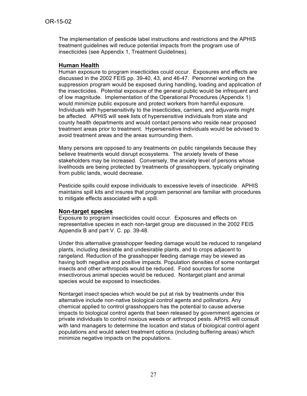The implementation of pesticide label instructions and restrictions and the APHIS treatment guidelines will reduce potential impacts from the program use of insecticides (see Appendix 1, Treatment Guidelines).

#### **Human Health**

Human exposure to program insecticides could occur. Exposures and effects are discussed in the 2002 FEIS pp. 39-40, 43, and 46-47. Personnel working on the suppression program would be exposed during handling, loading and application of the insecticides. Potential exposure of the general public would be infrequent and of low magnitude. Implementation of the Operational Procedures (Appendix 1) would minimize public exposure and protect workers from harmful exposure. Individuals with hypersensitivity to the insecticides, carriers, and adjuvants might be affected. APHIS will seek lists of hypersensitive individuals from state and county health departments and would contact persons who reside near proposed treatment areas prior to treatment. Hypersensitive individuals would be advised to avoid treatment areas and the areas surrounding them.

Many persons are opposed to any treatments on public rangelands because they believe treatments would disrupt ecosystems. The anxiety levels of these stakeholders may be increased. Conversely, the anxiety level of persons whose livelihoods are being protected by treatments of grasshoppers, typically originating from public lands, would decrease.

Pesticide spills could expose individuals to excessive levels of insecticide. APHIS maintains spill kits and insures that program personnel are familiar with procedures to mitigate effects associated with a spill.

#### **Non-target species**

Exposure to program insecticides could occur. Exposures and effects on representative species in each non-target group are discussed in the 2002 FEIS Appendix B and part V. C. pp. 39-48.

Under this alternative grasshopper feeding damage would be reduced to rangeland plants, including desirable and undesirable plants, and to crops adjacent to rangeland. Reduction of the grasshopper feeding damage may be viewed as having both negative and positive impacts. Population densities of some nontarget insects and other arthropods would be reduced. Food sources for some insectivorous animal species would be reduced. Nontarget plant and animal species would be exposed to insecticides.

Nontarget insect species which would be put at risk by treatments under this alternative include non-native biological control agents and pollinators. Any chemical applied to control grasshoppers has the potential to cause adverse impacts to biological control agents that been released by government agencies or private individuals to control noxious weeds or arthropod pests. APHIS will consult with land managers to determine the location and status of biological control agent populations and would select treatment options (including buffering areas) which minimize negative impacts on the populations.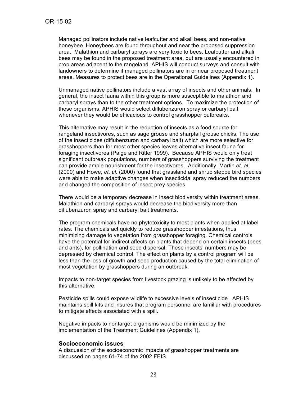Managed pollinators include native leafcutter and alkali bees, and non-native honeybee. Honeybees are found throughout and near the proposed suppression area. Malathion and carbaryl sprays are very toxic to bees. Leafcutter and alkali bees may be found in the proposed treatment area, but are usually encountered in crop areas adjacent to the rangeland. APHIS will conduct surveys and consult with landowners to determine if managed pollinators are in or near proposed treatment areas. Measures to protect bees are in the Operational Guidelines (Appendix 1).

Unmanaged native pollinators include a vast array of insects and other animals. In general, the insect fauna within this group is more susceptible to malathion and carbaryl sprays than to the other treatment options. To maximize the protection of these organisms, APHIS would select diflubenzuron spray or carbaryl bait whenever they would be efficacious to control grasshopper outbreaks.

This alternative may result in the reduction of insects as a food source for rangeland insectivores, such as sage grouse and sharptail grouse chicks. The use of the insecticides (diflubenzuron and carbaryl bait) which are more selective for grasshoppers than for most other species leaves alternative insect fauna for foraging insectivores (Paige and Ritter 1999). Because APHIS would only treat significant outbreak populations, numbers of grasshoppers surviving the treatment can provide ample nourishment for the insectivores. Additionally, Martin *et. al.* (2000) and Howe, *et. al.* (2000) found that grassland and shrub steppe bird species were able to make adaptive changes when insecticidal spray reduced the numbers and changed the composition of insect prey species.

There would be a temporary decrease in insect biodiversity within treatment areas. Malathion and carbaryl sprays would decrease the biodiversity more than diflubenzuron spray and carbaryl bait treatments.

The program chemicals have no phytotoxicity to most plants when applied at label rates. The chemicals act quickly to reduce grasshopper infestations, thus minimizing damage to vegetation from grasshopper foraging. Chemical controls have the potential for indirect affects on plants that depend on certain insects (bees and ants), for pollination and seed dispersal. These insects' numbers may be depressed by chemical control. The effect on plants by a control program will be less than the loss of growth and seed production caused by the total elimination of most vegetation by grasshoppers during an outbreak.

Impacts to non-target species from livestock grazing is unlikely to be affected by this alternative.

Pesticide spills could expose wildlife to excessive levels of insecticide. APHIS maintains spill kits and insures that program personnel are familiar with procedures to mitigate effects associated with a spill.

Negative impacts to nontarget organisms would be minimized by the implementation of the Treatment Guidelines (Appendix 1).

#### **Socioeconomic issues**

A discussion of the socioeconomic impacts of grasshopper treatments are discussed on pages 61-74 of the 2002 FEIS.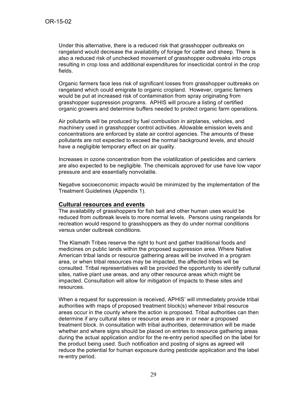Under this alternative, there is a reduced risk that grasshopper outbreaks on rangeland would decrease the availability of forage for cattle and sheep. There is also a reduced risk of unchecked movement of grasshopper outbreaks into crops resulting in crop loss and additional expenditures for insecticidal control in the crop fields.

Organic farmers face less risk of significant losses from grasshopper outbreaks on rangeland which could emigrate to organic cropland. However, organic farmers would be put at increased risk of contamination from spray originating from grasshopper suppression programs. APHIS will procure a listing of certified organic growers and determine buffers needed to protect organic farm operations.

Air pollutants will be produced by fuel combustion in airplanes, vehicles, and machinery used in grasshopper control activities. Allowable emission levels and concentrations are enforced by state air control agencies. The amounts of these pollutants are not expected to exceed the normal background levels, and should have a negligible temporary effect on air quality.

Increases in ozone concentration from the volatilization of pesticides and carriers are also expected to be negligible. The chemicals approved for use have low vapor pressure and are essentially nonvolatile.

Negative socioeconomic impacts would be minimized by the implementation of the Treatment Guidelines (Appendix 1).

#### **Cultural resources and events**

The availability of grasshoppers for fish bait and other human uses would be reduced from outbreak levels to more normal levels. Persons using rangelands for recreation would respond to grasshoppers as they do under normal conditions versus under outbreak conditions.

The Klamath Tribes reserve the right to hunt and gather traditional foods and medicines on public lands within the proposed suppression area. Where Native American tribal lands or resource gathering areas will be involved in a program area, or when tribal resources may be impacted, the affected tribes will be consulted. Tribal representatives will be provided the opportunity to identify cultural sites, native plant use areas, and any other resource areas which might be impacted. Consultation will allow for mitigation of impacts to these sites and resources.

When a request for suppression is received, APHIS' will immediately provide tribal authorities with maps of proposed treatment block(s) whenever tribal resource areas occur in the county where the action is proposed. Tribal authorities can then determine if any cultural sites or resource areas are in or near a proposed treatment block. In consultation with tribal authorities, determination will be made whether and where signs should be placed on entries to resource gathering areas during the actual application and/or for the re-entry period specified on the label for the product being used. Such notification and posting of signs as agreed will reduce the potential for human exposure during pesticide application and the label re-entry period.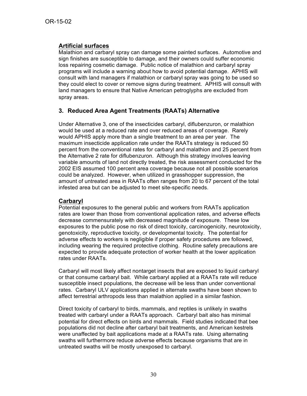### **Artificial surfaces**

Malathion and carbaryl spray can damage some painted surfaces. Automotive and sign finishes are susceptible to damage, and their owners could suffer economic loss repairing cosmetic damage. Public notice of malathion and carbaryl spray programs will include a warning about how to avoid potential damage. APHIS will consult with land managers if malathion or carbaryl spray was going to be used so they could elect to cover or remove signs during treatment. APHIS will consult with land managers to ensure that Native American petroglyphs are excluded from spray areas.

### **3. Reduced Area Agent Treatments (RAATs) Alternative**

Under Alternative 3, one of the insecticides carbaryl, diflubenzuron, or malathion would be used at a reduced rate and over reduced areas of coverage. Rarely would APHIS apply more than a single treatment to an area per year. The maximum insecticide application rate under the RAATs strategy is reduced 50 percent from the conventional rates for carbaryl and malathion and 25 percent from the Alternative 2 rate for diflubenzuron. Although this strategy involves leaving variable amounts of land not directly treated, the risk assessment conducted for the 2002 EIS assumed 100 percent area coverage because not all possible scenarios could be analyzed. However, when utilized in grasshopper suppression, the amount of untreated area in RAATs often ranges from 20 to 67 percent of the total infested area but can be adjusted to meet site-specific needs.

#### **Carbaryl**

Potential exposures to the general public and workers from RAATs application rates are lower than those from conventional application rates, and adverse effects decrease commensurately with decreased magnitude of exposure. These low exposures to the public pose no risk of direct toxicity, carcinogenicity, neurotoxicity, genotoxicity, reproductive toxicity, or developmental toxicity. The potential for adverse effects to workers is negligible if proper safety procedures are followed, including wearing the required protective clothing. Routine safety precautions are expected to provide adequate protection of worker health at the lower application rates under RAATs.

Carbaryl will most likely affect nontarget insects that are exposed to liquid carbaryl or that consume carbaryl bait. While carbaryl applied at a RAATs rate will reduce susceptible insect populations, the decrease will be less than under conventional rates. Carbaryl ULV applications applied in alternate swaths have been shown to affect terrestrial arthropods less than malathion applied in a similar fashion.

Direct toxicity of carbaryl to birds, mammals, and reptiles is unlikely in swaths treated with carbaryl under a RAATs approach. Carbaryl bait also has minimal potential for direct effects on birds and mammals. Field studies indicated that bee populations did not decline after carbaryl bait treatments, and American kestrels were unaffected by bait applications made at a RAATs rate. Using alternating swaths will furthermore reduce adverse effects because organisms that are in untreated swaths will be mostly unexposed to carbaryl.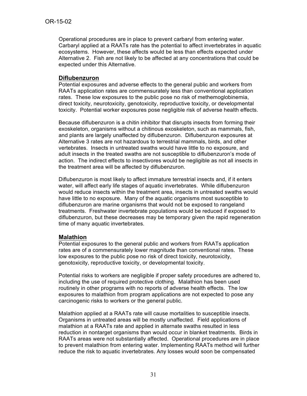Operational procedures are in place to prevent carbaryl from entering water. Carbaryl applied at a RAATs rate has the potential to affect invertebrates in aquatic ecosystems. However, these affects would be less than effects expected under Alternative 2. Fish are not likely to be affected at any concentrations that could be expected under this Alternative.

#### **Diflubenzuron**

Potential exposures and adverse effects to the general public and workers from RAATs application rates are commensurately less than conventional application rates. These low exposures to the public pose no risk of methemoglobinemia, direct toxicity, neurotoxicity, genotoxicity, reproductive toxicity, or developmental toxicity. Potential worker exposures pose negligible risk of adverse health effects.

Because diflubenzuron is a chitin inhibitor that disrupts insects from forming their exoskeleton, organisms without a chitinous exoskeleton, such as mammals, fish, and plants are largely unaffected by diflubenzuron. Diflubenzuron exposures at Alternative 3 rates are not hazardous to terrestrial mammals, birds, and other vertebrates. Insects in untreated swaths would have little to no exposure, and adult insects in the treated swaths are not susceptible to diflubenzuron's mode of action. The indirect effects to insectivores would be negligible as not all insects in the treatment area will be affected by diflubenzuron.

Diflubenzuron is most likely to affect immature terrestrial insects and, if it enters water, will affect early life stages of aquatic invertebrates. While diflubenzuron would reduce insects within the treatment area, insects in untreated swaths would have little to no exposure. Many of the aquatic organisms most susceptible to diflubenzuron are marine organisms that would not be exposed to rangeland treatments. Freshwater invertebrate populations would be reduced if exposed to diflubenzuron, but these decreases may be temporary given the rapid regeneration time of many aquatic invertebrates.

#### **Malathion**

Potential exposures to the general public and workers from RAATs application rates are of a commensurately lower magnitude than conventional rates. These low exposures to the public pose no risk of direct toxicity, neurotoxicity, genotoxicity, reproductive toxicity, or developmental toxicity.

Potential risks to workers are negligible if proper safety procedures are adhered to, including the use of required protective clothing. Malathion has been used routinely in other programs with no reports of adverse health effects. The low exposures to malathion from program applications are not expected to pose any carcinogenic risks to workers or the general public.

Malathion applied at a RAATs rate will cause mortalities to susceptible insects. Organisms in untreated areas will be mostly unaffected. Field applications of malathion at a RAATs rate and applied in alternate swaths resulted in less reduction in nontarget organisms than would occur in blanket treatments. Birds in RAATs areas were not substantially affected. Operational procedures are in place to prevent malathion from entering water. Implementing RAATs method will further reduce the risk to aquatic invertebrates. Any losses would soon be compensated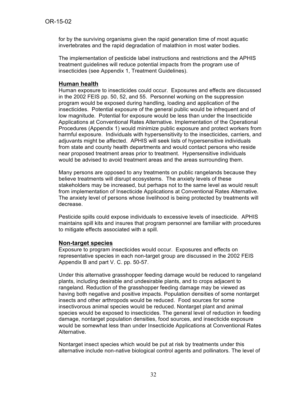for by the surviving organisms given the rapid generation time of most aquatic invertebrates and the rapid degradation of malathion in most water bodies.

The implementation of pesticide label instructions and restrictions and the APHIS treatment guidelines will reduce potential impacts from the program use of insecticides (see Appendix 1, Treatment Guidelines).

#### **Human health**

Human exposure to insecticides could occur. Exposures and effects are discussed in the 2002 FEIS pp. 50, 52, and 55. Personnel working on the suppression program would be exposed during handling, loading and application of the insecticides. Potential exposure of the general public would be infrequent and of low magnitude. Potential for exposure would be less than under the Insecticide Applications at Conventional Rates Alternative. Implementation of the Operational Procedures (Appendix 1) would minimize public exposure and protect workers from harmful exposure. Individuals with hypersensitivity to the insecticides, carriers, and adjuvants might be affected. APHIS will seek lists of hypersensitive individuals from state and county health departments and would contact persons who reside near proposed treatment areas prior to treatment. Hypersensitive individuals would be advised to avoid treatment areas and the areas surrounding them.

Many persons are opposed to any treatments on public rangelands because they believe treatments will disrupt ecosystems. The anxiety levels of these stakeholders may be increased, but perhaps not to the same level as would result from implementation of Insecticide Applications at Conventional Rates Alternative. The anxiety level of persons whose livelihood is being protected by treatments will decrease.

Pesticide spills could expose individuals to excessive levels of insecticide. APHIS maintains spill kits and insures that program personnel are familiar with procedures to mitigate effects associated with a spill.

#### **Non-target species**

Exposure to program insecticides would occur. Exposures and effects on representative species in each non-target group are discussed in the 2002 FEIS Appendix B and part V. C. pp. 50-57.

Under this alternative grasshopper feeding damage would be reduced to rangeland plants, including desirable and undesirable plants, and to crops adjacent to rangeland. Reduction of the grasshopper feeding damage may be viewed as having both negative and positive impacts. Population densities of some nontarget insects and other arthropods would be reduced. Food sources for some insectivorous animal species would be reduced. Nontarget plant and animal species would be exposed to insecticides. The general level of reduction in feeding damage, nontarget population densities, food sources, and insecticide exposure would be somewhat less than under Insecticide Applications at Conventional Rates Alternative.

Nontarget insect species which would be put at risk by treatments under this alternative include non-native biological control agents and pollinators. The level of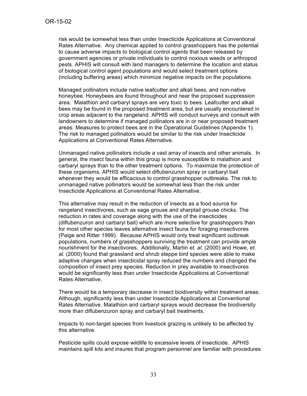risk would be somewhat less than under Insecticide Applications at Conventional Rates Alternative. Any chemical applied to control grasshoppers has the potential to cause adverse impacts to biological control agents that been released by government agencies or private individuals to control noxious weeds or arthropod pests. APHIS will consult with land managers to determine the location and status of biological control agent populations and would select treatment options (including buffering areas) which minimize negative impacts on the populations.

Managed pollinators include native leafcutter and alkali bees, and non-native honeybee. Honeybees are found throughout and near the proposed suppression area. Malathion and carbaryl sprays are very toxic to bees. Leafcutter and alkali bees may be found in the proposed treatment area, but are usually encountered in crop areas adjacent to the rangeland. APHIS will conduct surveys and consult with landowners to determine if managed pollinators are in or near proposed treatment areas. Measures to protect bees are in the Operational Guidelines (Appendix 1). The risk to managed pollinators would be similar to the risk under Insecticide Applications at Conventional Rates Alternative.

Unmanaged native pollinators include a vast array of insects and other animals. In general, the insect fauna within this group is more susceptible to malathion and carbaryl sprays than to the other treatment options. To maximize the protection of these organisms, APHIS would select diflubenzuron spray or carbaryl bait whenever they would be efficacious to control grasshopper outbreaks. The risk to unmanaged native pollinators would be somewhat less than the risk under Insecticide Applications at Conventional Rates Alternative.

This alternative may result in the reduction of insects as a food source for rangeland insectivores, such as sage grouse and sharptail grouse chicks. The reduction in rates and coverage along with the use of the insecticides (diflubenzuron and carbaryl bait) which are more selective for grasshoppers than for most other species leaves alternative insect fauna for foraging insectivores (Paige and Ritter 1999). Because APHIS would only treat significant outbreak populations, numbers of grasshoppers surviving the treatment can provide ample nourishment for the insectivores. Additionally, Martin *et. al.* (2000) and Howe, *et. al.* (2000) found that grassland and shrub steppe bird species were able to make adaptive changes when insecticidal spray reduced the numbers and changed the composition of insect prey species. Reduction in prey available to insectivores would be significantly less than under Insecticide Applications at Conventional Rates Alternative.

There would be a temporary decrease in insect biodiversity within treatment areas. Although, significantly less than under Insecticide Applications at Conventional Rates Alternative. Malathion and carbaryl sprays would decrease the biodiversity more than diflubenzuron spray and carbaryl bait treatments.

Impacts to non-target species from livestock grazing is unlikely to be affected by this alternative.

Pesticide spills could expose wildlife to excessive levels of insecticide. APHIS maintains spill kits and insures that program personnel are familiar with procedures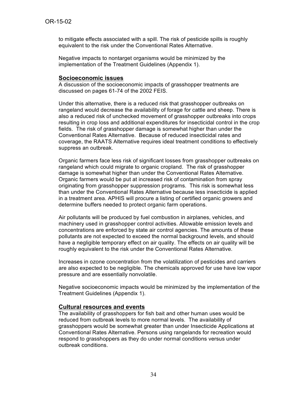to mitigate effects associated with a spill. The risk of pesticide spills is roughly equivalent to the risk under the Conventional Rates Alternative.

Negative impacts to nontarget organisms would be minimized by the implementation of the Treatment Guidelines (Appendix 1).

#### **Socioeconomic issues**

A discussion of the socioeconomic impacts of grasshopper treatments are discussed on pages 61-74 of the 2002 FEIS.

Under this alternative, there is a reduced risk that grasshopper outbreaks on rangeland would decrease the availability of forage for cattle and sheep. There is also a reduced risk of unchecked movement of grasshopper outbreaks into crops resulting in crop loss and additional expenditures for insecticidal control in the crop fields. The risk of grasshopper damage is somewhat higher than under the Conventional Rates Alternative. Because of reduced insecticidal rates and coverage, the RAATS Alternative requires ideal treatment conditions to effectively suppress an outbreak.

Organic farmers face less risk of significant losses from grasshopper outbreaks on rangeland which could migrate to organic cropland. The risk of grasshopper damage is somewhat higher than under the Conventional Rates Alternative. Organic farmers would be put at increased risk of contamination from spray originating from grasshopper suppression programs. This risk is somewhat less than under the Conventional Rates Alternative because less insecticide is applied in a treatment area. APHIS will procure a listing of certified organic growers and determine buffers needed to protect organic farm operations.

Air pollutants will be produced by fuel combustion in airplanes, vehicles, and machinery used in grasshopper control activities. Allowable emission levels and concentrations are enforced by state air control agencies. The amounts of these pollutants are not expected to exceed the normal background levels, and should have a negligible temporary effect on air quality. The effects on air quality will be roughly equivalent to the risk under the Conventional Rates Alternative.

Increases in ozone concentration from the volatilization of pesticides and carriers are also expected to be negligible. The chemicals approved for use have low vapor pressure and are essentially nonvolatile.

Negative socioeconomic impacts would be minimized by the implementation of the Treatment Guidelines (Appendix 1).

#### **Cultural resources and events**

The availability of grasshoppers for fish bait and other human uses would be reduced from outbreak levels to more normal levels. The availability of grasshoppers would be somewhat greater than under Insecticide Applications at Conventional Rates Alternative. Persons using rangelands for recreation would respond to grasshoppers as they do under normal conditions versus under outbreak conditions.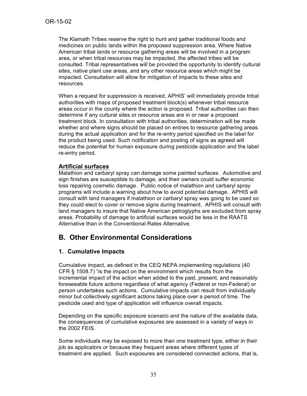The Klamath Tribes reserve the right to hunt and gather traditional foods and medicines on public lands within the proposed suppression area. Where Native American tribal lands or resource gathering areas will be involved in a program area, or when tribal resources may be impacted, the affected tribes will be consulted. Tribal representatives will be provided the opportunity to identify cultural sites, native plant use areas, and any other resource areas which might be impacted. Consultation will allow for mitigation of impacts to these sites and resources.

When a request for suppression is received, APHIS' will immediately provide tribal authorities with maps of proposed treatment block(s) whenever tribal resource areas occur in the county where the action is proposed. Tribal authorities can then determine if any cultural sites or resource areas are in or near a proposed treatment block. In consultation with tribal authorities, determination will be made whether and where signs should be placed on entries to resource gathering areas during the actual application and for the re-entry period specified on the label for the product being used. Such notification and posting of signs as agreed will reduce the potential for human exposure during pesticide application and the label re-entry period.

### **Artificial surfaces**

Malathion and carbaryl spray can damage some painted surfaces. Automotive and sign finishes are susceptible to damage, and their owners could suffer economic loss repairing cosmetic damage. Public notice of malathion and carbaryl spray programs will include a warning about how to avoid potential damage. APHIS will consult with land managers if malathion or carbaryl spray was going to be used so they could elect to cover or remove signs during treatment. APHIS will consult with land managers to insure that Native American petroglyphs are excluded from spray areas. Probability of damage to artificial surfaces would be less in the RAATS Alternative than in the Conventional Rates Alternative.

# **B. Other Environmental Considerations**

## **1. Cumulative Impacts**

Cumulative impact, as defined in the CEQ NEPA implementing regulations (40 CFR § 1508.7) "is the impact on the environment which results from the incremental impact of the action when added to the past, present, and reasonably foreseeable future actions regardless of what agency (Federal or non-Federal) or person undertakes such actions. Cumulative impacts can result from individually minor but collectively significant actions taking place over a period of time. The pesticide used and type of application will influence overall impacts.

Depending on the specific exposure scenario and the nature of the available data, the consequences of cumulative exposures are assessed in a variety of ways in the 2002 FEIS.

Some individuals may be exposed to more than one treatment type, either in their job as applicators or because they frequent areas where different types of treatment are applied. Such exposures are considered connected actions, that is,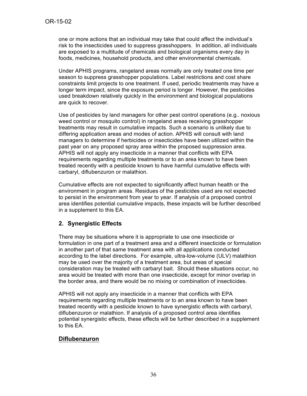one or more actions that an individual may take that could affect the individual's risk to the insecticides used to suppress grasshoppers. In addition, all individuals are exposed to a multitude of chemicals and biological organisms every day in foods, medicines, household products, and other environmental chemicals.

Under APHIS programs, rangeland areas normally are only treated one time per season to suppress grasshopper populations. Label restrictions and cost share constraints limit projects to one treatment. If used, periodic treatments may have a longer term impact, since the exposure period is longer. However, the pesticides used breakdown relatively quickly in the environment and biological populations are quick to recover.

Use of pesticides by land managers for other pest control operations (e.g.. noxious weed control or mosquito control) in rangeland areas receiving grasshopper treatments may result in cumulative impacts. Such a scenario is unlikely due to differing application areas and modes of action. APHIS will consult with land managers to determine if herbicides or insecticides have been utilized within the past year on any proposed spray area within the proposed suppression area. APHIS will not apply any insecticide in a manner that conflicts with EPA requirements regarding multiple treatments or to an area known to have been treated recently with a pesticide known to have harmful cumulative effects with carbaryl, diflubenzuron or malathion.

Cumulative effects are not expected to significantly affect human health or the environment in program areas. Residues of the pesticides used are not expected to persist in the environment from year to year. If analysis of a proposed control area identifies potential cumulative impacts, these impacts will be further described in a supplement to this EA.

## **2. Synergistic Effects**

There may be situations where it is appropriate to use one insecticide or formulation in one part of a treatment area and a different insecticide or formulation in another part of that same treatment area with all applications conducted according to the label directions. For example, ultra-low-volume (ULV) malathion may be used over the majority of a treatment area, but areas of special consideration may be treated with carbaryl bait. Should these situations occur, no area would be treated with more than one insecticide, except for minor overlap in the border area, and there would be no mixing or combination of insecticides.

APHIS will not apply any insecticide in a manner that conflicts with EPA requirements regarding multiple treatments or to an area known to have been treated recently with a pesticide known to have synergistic effects with carbaryl, diflubenzuron or malathion. If analysis of a proposed control area identifies potential synergistic effects, these effects will be further described in a supplement to this EA.

#### **Diflubenzuron**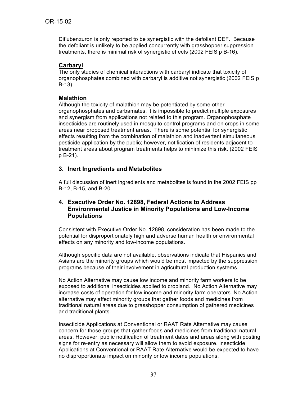Diflubenzuron is only reported to be synergistic with the defoliant DEF. Because the defoliant is unlikely to be applied concurrently with grasshopper suppression treatments, there is minimal risk of synergistic effects (2002 FEIS p B-16).

### **Carbaryl**

The only studies of chemical interactions with carbaryl indicate that toxicity of organophosphates combined with carbaryl is additive not synergistic (2002 FEIS p B-13).

#### **Malathion**

Although the toxicity of malathion may be potentiated by some other organophosphates and carbamates, it is impossible to predict multiple exposures and synergism from applications not related to this program. Organophosphate insecticides are routinely used in mosquito control programs and on crops in some areas near proposed treatment areas. There is some potential for synergistic effects resulting from the combination of malathion and inadvertent simultaneous pesticide application by the public; however, notification of residents adjacent to treatment areas about program treatments helps to minimize this risk. (2002 FEIS p B-21).

### **3. Inert Ingredients and Metabolites**

A full discussion of inert ingredients and metabolites is found in the 2002 FEIS pp B-12, B-15, and B-20.

#### **4. Executive Order No. 12898, Federal Actions to Address Environmental Justice in Minority Populations and Low-Income Populations**

Consistent with Executive Order No. 12898, consideration has been made to the potential for disproportionately high and adverse human health or environmental effects on any minority and low-income populations.

Although specific data are not available, observations indicate that Hispanics and Asians are the minority groups which would be most impacted by the suppression programs because of their involvement in agricultural production systems.

No Action Alternative may cause low income and minority farm workers to be exposed to additional insecticides applied to cropland. No Action Alternative may increase costs of operation for low income and minority farm operators. No Action alternative may affect minority groups that gather foods and medicines from traditional natural areas due to grasshopper consumption of gathered medicines and traditional plants.

Insecticide Applications at Conventional or RAAT Rate Alternative may cause concern for those groups that gather foods and medicines from traditional natural areas. However, public notification of treatment dates and areas along with posting signs for re-entry as necessary will allow them to avoid exposure. Insecticide Applications at Conventional or RAAT Rate Alternative would be expected to have no disproportionate impact on minority or low income populations.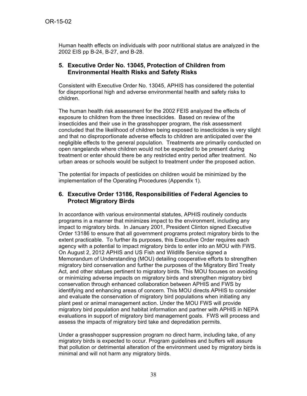Human health effects on individuals with poor nutritional status are analyzed in the 2002 EIS pp B-24, B-27, and B-28.

#### **5. Executive Order No. 13045, Protection of Children from Environmental Health Risks and Safety Risks**

Consistent with Executive Order No. 13045, APHIS has considered the potential for disproportional high and adverse environmental health and safety risks to children.

The human health risk assessment for the 2002 FEIS analyzed the effects of exposure to children from the three insecticides. Based on review of the insecticides and their use in the grasshopper program, the risk assessment concluded that the likelihood of children being exposed to insecticides is very slight and that no disproportionate adverse effects to children are anticipated over the negligible effects to the general population. Treatments are primarily conducted on open rangelands where children would not be expected to be present during treatment or enter should there be any restricted entry period after treatment. No urban areas or schools would be subject to treatment under the proposed action.

The potential for impacts of pesticides on children would be minimized by the implementation of the Operating Procedures (Appendix 1).

#### **6. Executive Order 13186, Responsibilities of Federal Agencies to Protect Migratory Birds**

In accordance with various environmental statutes, APHIS routinely conducts programs in a manner that minimizes impact to the environment, including any impact to migratory birds. In January 2001, President Clinton signed Executive Order 13186 to ensure that all government programs protect migratory birds to the extent practicable. To further its purposes, this Executive Order requires each agency with a potential to impact migratory birds to enter into an MOU with FWS. On August 2, 2012 APHIS and US Fish and Wildlife Service signed a Memorandum of Understanding (MOU) detailing cooperative efforts to strengthen migratory bird conservation and further the purposes of the Migratory Bird Treaty Act, and other statues pertinent to migratory birds. This MOU focuses on avoiding or minimizing adverse impacts on migratory birds and strengthen migratory bird conservation through enhanced collaboration between APHIS and FWS by identifying and enhancing areas of concern. This MOU directs APHIS to consider and evaluate the conservation of migratory bird populations when initiating any plant pest or animal management action. Under the MOU FWS will provide migratory bird population and habitat information and partner with APHIS in NEPA evaluations in support of migratory bird management goals. FWS will process and assess the impacts of migratory bird take and depredation permits.

Under a grasshopper suppression program no direct harm, including take, of any migratory birds is expected to occur. Program guidelines and buffers will assure that pollution or detrimental alteration of the environment used by migratory birds is minimal and will not harm any migratory birds.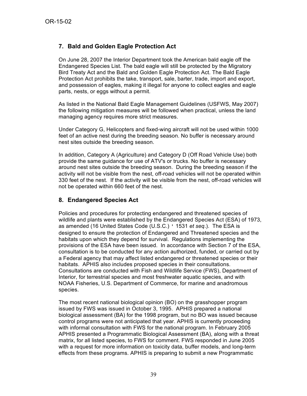## **7. Bald and Golden Eagle Protection Act**

On June 28, 2007 the Interior Department took the American bald eagle off the Endangered Species List. The bald eagle will still be protected by the Migratory Bird Treaty Act and the Bald and Golden Eagle Protection Act. The Bald Eagle Protection Act prohibits the take, transport, sale, barter, trade, import and export, and possession of eagles, making it illegal for anyone to collect eagles and eagle parts, nests, or eggs without a permit.

As listed in the National Bald Eagle Management Guidelines (USFWS, May 2007) the following mitigation measures will be followed when practical, unless the land managing agency requires more strict measures.

Under Category G, Helicopters and fixed-wing aircraft will not be used within 1000 feet of an active nest during the breeding season. No buffer is necessary around nest sites outside the breeding season.

In addition, Category A (Agriculture) and Category D (Off Road Vehicle Use) both provide the same guidance for use of ATV's or trucks. No buffer is necessary around nest sites outside the breeding season. During the breeding season if the activity will not be visible from the nest, off-road vehicles will not be operated within 330 feet of the nest. If the activity will be visible from the nest, off-road vehicles will not be operated within 660 feet of the nest.

## **8. Endangered Species Act**

Policies and procedures for protecting endangered and threatened species of wildlife and plants were established by the Endangered Species Act (ESA) of 1973, as amended (16 United States Code (U.S.C.) ' 1531 *et seq*.). The ESA is designed to ensure the protection of Endangered and Threatened species and the habitats upon which they depend for survival. Regulations implementing the provisions of the ESA have been issued. In accordance with Section 7 of the ESA, consultation is to be conducted for any action authorized, funded, or carried out by a Federal agency that may affect listed endangered or threatened species or their habitats. APHIS also includes proposed species in their consultations. Consultations are conducted with Fish and Wildlife Service (FWS), Department of Interior, for terrestrial species and most freshwater aquatic species, and with NOAA Fisheries, U.S. Department of Commerce, for marine and anadromous species.

The most recent national biological opinion (BO) on the grasshopper program issued by FWS was issued in October 3, 1995. APHIS prepared a national biological assessment (BA) for the 1998 program, but no BO was issued because control programs were not anticipated that year. APHIS is currently proceeding with informal consultation with FWS for the national program. In February 2005 APHIS presented a Programmatic Biological Assessment (BA), along with a threat matrix, for all listed species, to FWS for comment. FWS responded in June 2005 with a request for more information on toxicity data, buffer models, and long-term effects from these programs. APHIS is preparing to submit a new Programmatic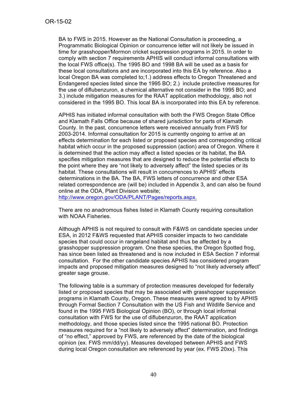BA to FWS in 2015. However as the National Consultation is proceeding, a Programmatic Biological Opinion or concurrence letter will not likely be issued in time for grasshopper/Mormon cricket suppression programs in 2015. In order to comply with section 7 requirements APHIS will conduct informal consultations with the local FWS office(s). The 1995 BO and 1998 BA will be used as a basis for these local consultations and are incorporated into this EA by reference. Also a local Oregon BA was completed to;1.) address effects to Oregon Threatened and Endangered species listed since the 1995 BO; 2.) include protective measures for the use of diflubenzuron, a chemical alternative not consider in the 1995 BO; and 3.) include mitigation measures for the RAAT application methodology, also not considered in the 1995 BO. This local BA is incorporated into this EA by reference.

APHIS has initiated informal consultation with both the FWS Oregon State Office and Klamath Falls Office because of shared jurisdiction for parts of Klamath County. In the past, concurrence letters were received annually from FWS for 2003-2014. Informal consultation for 2015 is currently ongoing to arrive at an effects determination for each listed or proposed species and corresponding critical habitat which occur in the proposed suppression (action) area of Oregon. Where it is determined that the action may affect a listed species or its habitat, the BA specifies mitigation measures that are designed to reduce the potential effects to the point where they are "not likely to adversely affect" the listed species or its habitat. These consultations will result in concurrences to APHIS' effects determinations in the BA. The BA, FWS letters of concurrence and other ESA related correspondence are (will be) included in Appendix 3, and can also be found online at the ODA, Plant Division website;

http://www.oregon.gov/ODA/PLANT/Pages/reports.aspx.

There are no anadromous fishes listed in Klamath County requiring consultation with NOAA Fisheries.

Although APHIS is not required to consult with F&WS on candidate species under ESA, in 2012 F&WS requested that APHIS consider impacts to two candidate species that could occur in rangeland habitat and thus be affected by a grasshopper suppression program. One these species, the Oregon Spotted frog, has since been listed as threatened and is now included in ESA Section 7 informal consultation. For the other candidate species APHIS has considered program impacts and proposed mitigation measures designed to "not likely adversely affect" greater sage grouse.

The following table is a summary of protection measures developed for federally listed or proposed species that may be associated with grasshopper suppression programs in Klamath County, Oregon. These measures were agreed to by APHIS through Formal Section 7 Consultation with the US Fish and Wildlife Service and found in the 1995 FWS Biological Opinion (BO), or through local informal consultation with FWS for the use of diflubenzuron, the RAAT application methodology, and those species listed since the 1995 national BO. Protection measures required for a "not likely to adversely affect" determination, and findings of "no effect," approved by FWS, are referenced by the date of the biological opinion (ex. FWS mm/dd/yy). Measures developed between APHIS and FWS during local Oregon consultation are referenced by year (ex. FWS 20xx). This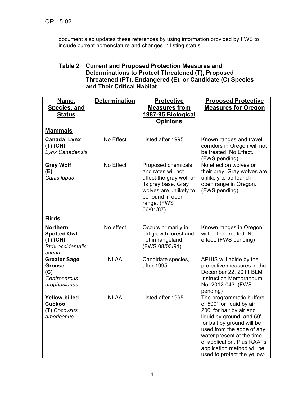document also updates these references by using information provided by FWS to include current nomenclature and changes in listing status.

### **Table 2 Current and Proposed Protection Measures and Determinations to Protect Threatened (T), Proposed Threatened (PT), Endangered (E), or Candidate (C) Species and Their Critical Habitat**

| Name,                                                                               | <b>Determination</b> | <b>Protective</b>                                                                                                                                                    | <b>Proposed Protective</b>                                                                                                                                                                                                                                                                         |
|-------------------------------------------------------------------------------------|----------------------|----------------------------------------------------------------------------------------------------------------------------------------------------------------------|----------------------------------------------------------------------------------------------------------------------------------------------------------------------------------------------------------------------------------------------------------------------------------------------------|
| Species, and                                                                        |                      | <b>Measures from</b>                                                                                                                                                 | <b>Measures for Oregon</b>                                                                                                                                                                                                                                                                         |
| <b>Status</b>                                                                       |                      | 1987-95 Biological                                                                                                                                                   |                                                                                                                                                                                                                                                                                                    |
|                                                                                     |                      | <b>Opinions</b>                                                                                                                                                      |                                                                                                                                                                                                                                                                                                    |
| <b>Mammals</b>                                                                      |                      |                                                                                                                                                                      |                                                                                                                                                                                                                                                                                                    |
| Canada Lynx<br>$(T)$ (CH)<br>Lynx Canadensis                                        | No Effect            | Listed after 1995                                                                                                                                                    | Known ranges and travel<br>corridors in Oregon will not<br>be treated. No Effect.<br>(FWS pending)                                                                                                                                                                                                 |
| <b>Gray Wolf</b><br>(E)<br>Canis lupus                                              | No Effect            | Proposed chemicals<br>and rates will not<br>affect the gray wolf or<br>its prey base. Gray<br>wolves are unlikely to<br>be found in open<br>range. (FWS<br>06/01/87) | No effect on wolves or<br>their prey. Gray wolves are<br>unlikely to be found in<br>open range in Oregon.<br>(FWS pending)                                                                                                                                                                         |
| <b>Birds</b>                                                                        |                      |                                                                                                                                                                      |                                                                                                                                                                                                                                                                                                    |
| <b>Northern</b><br><b>Spotted Owl</b><br>$(T)$ (CH)<br>Strix occidentalis<br>caurin | No effect            | Occurs primarily in<br>old growth forest and<br>not in rangeland.<br>(FWS 08/03/91)                                                                                  | Known ranges in Oregon<br>will not be treated. No<br>effect. (FWS pending)                                                                                                                                                                                                                         |
| <b>Greater Sage</b><br><b>Grouse</b><br>(C)<br>Centrocercus<br>urophasianus         | <b>NLAA</b>          | Candidate species,<br>after 1995                                                                                                                                     | APHIS will abide by the<br>protective measures in the<br>December 22, 2011 BLM<br><b>Instruction Memorandum</b><br>No. 2012-043. (FWS<br>pending)                                                                                                                                                  |
| <b>Yellow-billed</b><br><b>Cuckoo</b><br>(T) Coccyzus<br>americanus                 | <b>NLAA</b>          | Listed after 1995                                                                                                                                                    | The programmatic buffers<br>of 500' for liquid by air,<br>200' for bait by air and<br>liquid by ground, and 50'<br>for bait by ground will be<br>used from the edge of any<br>water present at the time<br>of application. Plus RAATs<br>application method will be<br>used to protect the yellow- |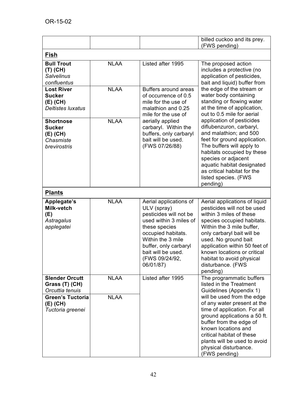|                                                                              |             |                                                                                                                                                                                                                                     | billed cuckoo and its prey.<br>(FWS pending)                                                                                                                                                                                                                                                                                           |
|------------------------------------------------------------------------------|-------------|-------------------------------------------------------------------------------------------------------------------------------------------------------------------------------------------------------------------------------------|----------------------------------------------------------------------------------------------------------------------------------------------------------------------------------------------------------------------------------------------------------------------------------------------------------------------------------------|
| <b>Fish</b>                                                                  |             |                                                                                                                                                                                                                                     |                                                                                                                                                                                                                                                                                                                                        |
| <b>Bull Trout</b><br>$(T)$ (CH)<br><b>Salvelinus</b><br>confluentus          | <b>NLAA</b> | Listed after 1995                                                                                                                                                                                                                   | The proposed action<br>includes a protective (no<br>application of pesticides,<br>bait and liquid) buffer from                                                                                                                                                                                                                         |
| <b>Lost River</b><br><b>Sucker</b><br>$(E)$ (CH)<br><b>Deltistes luxatus</b> | <b>NLAA</b> | Buffers around areas<br>of occurrence of 0.5<br>mile for the use of<br>malathion and 0.25<br>mile for the use of                                                                                                                    | the edge of the stream or<br>water body containing<br>standing or flowing water<br>at the time of application,<br>out to 0.5 mile for aerial                                                                                                                                                                                           |
| <b>Shortnose</b><br><b>Sucker</b><br>(E) (CH)<br>Chasmiste<br>brevirostris   | <b>NLAA</b> | aerially applied<br>carbaryl. Within the<br>buffers, only carbaryl<br>bait will be used.<br>(FWS 07/26/88)                                                                                                                          | application of pesticides<br>diflubenzuron, carbaryl,<br>and malathion; and 500<br>feet for ground application.<br>The buffers will apply to<br>habitats occupied by these<br>species or adjacent<br>aquatic habitat designated<br>as critical habitat for the<br>listed species. (FWS<br>pending)                                     |
| <b>Plants</b>                                                                |             |                                                                                                                                                                                                                                     |                                                                                                                                                                                                                                                                                                                                        |
| Applegate's<br>Milk-vetch<br>(E)<br>Astragalus<br>applegatei                 | <b>NLAA</b> | Aerial applications of<br>ULV (spray)<br>pesticides will not be<br>used within 3 miles of<br>these species<br>occupied habitats.<br>Within the 3 mile<br>buffer, only carbaryl<br>bait will be used.<br>(FWS 09/24/92,<br>06/01/87) | Aerial applications of liquid<br>pesticides will not be used<br>within 3 miles of these<br>species occupied habitats.<br>Within the 3 mile buffer,<br>only carbaryl bait will be<br>used. No ground bait<br>application within 50 feet of<br>known locations or critical<br>habitat to avoid physical<br>disturbance. (FWS<br>pending) |
| <b>Slender Orcutt</b><br>Grass (T) (CH)<br>Orcuttia tenuis                   | <b>NLAA</b> | Listed after 1995                                                                                                                                                                                                                   | The programmatic buffers<br>listed in the Treatment<br>Guidelines (Appendix 1)                                                                                                                                                                                                                                                         |
| <b>Green's Tuctoria</b><br>(E) (CH)<br>Tuctoria greenei                      | <b>NLAA</b> |                                                                                                                                                                                                                                     | will be used from the edge<br>of any water present at the<br>time of application. For all<br>ground applications a 50 ft.<br>buffer from the edge of<br>known locations and<br>critical habitat of these<br>plants will be used to avoid<br>physical disturbance.<br>(FWS pending)                                                     |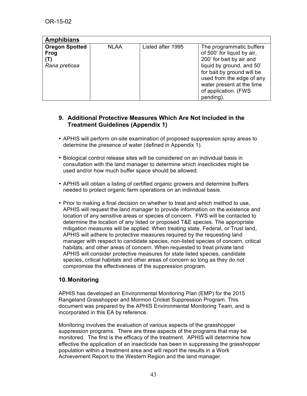| <b>Amphibians</b>                                     |             |                   |                                                                                                                                                                                                                                              |
|-------------------------------------------------------|-------------|-------------------|----------------------------------------------------------------------------------------------------------------------------------------------------------------------------------------------------------------------------------------------|
| <b>Oregon Spotted</b><br>Frog<br>(T)<br>Rana pretiosa | <b>NLAA</b> | Listed after 1995 | The programmatic buffers<br>of 500' for liquid by air,<br>200' for bait by air and<br>liquid by ground, and 50'<br>for bait by ground will be<br>used from the edge of any<br>water present at the time<br>of application. (FWS<br>pending). |

### **9. Additional Protective Measures Which Are Not Included in the Treatment Guidelines (Appendix 1)**

- APHIS will perform on-site examination of proposed suppression spray areas to determine the presence of water (defined in Appendix 1).
- Biological control release sites will be considered on an individual basis in consultation with the land manager to determine which insecticides might be used and/or how much buffer space should be allowed.
- APHIS will obtain a listing of certified organic growers and determine buffers needed to protect organic farm operations on an individual basis.
- Prior to making a final decision on whether to treat and which method to use, APHIS will request the land manager to provide information on the existence and location of any sensitive areas or species of concern. FWS will be contacted to determine the location of any listed or proposed T&E species. The appropriate mitigation measures will be applied. When treating state, Federal, or Trust land, APHIS will adhere to protective measures required by the requesting land manager with respect to candidate species, non-listed species of concern, critical habitats, and other areas of concern. When requested to treat private land APHIS will consider protective measures for state listed species, candidate species, critical habitats and other areas of concern so long as they do not compromise the effectiveness of the suppression program.

## **10.Monitoring**

APHIS has developed an Environmental Monitoring Plan (EMP) for the 2015 Rangeland Grasshopper and Mormon Cricket Suppression Program. This document was prepared by the APHIS Environmental Monitoring Team, and is incorporated in this EA by reference.

Monitoring involves the evaluation of various aspects of the grasshopper suppression programs. There are three aspects of the programs that may be monitored. The first is the efficacy of the treatment. APHIS will determine how effective the application of an insecticide has been in suppressing the grasshopper population within a treatment area and will report the results in a Work Achievement Report to the Western Region and the land manager.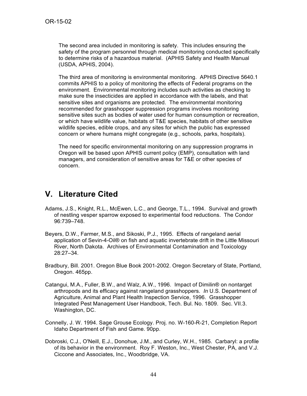The second area included in monitoring is safety. This includes ensuring the safety of the program personnel through medical monitoring conducted specifically to determine risks of a hazardous material. (APHIS Safety and Health Manual (USDA, APHIS, 2004).

The third area of monitoring is environmental monitoring. APHIS Directive 5640.1 commits APHIS to a policy of monitoring the effects of Federal programs on the environment. Environmental monitoring includes such activities as checking to make sure the insecticides are applied in accordance with the labels, and that sensitive sites and organisms are protected. The environmental monitoring recommended for grasshopper suppression programs involves monitoring sensitive sites such as bodies of water used for human consumption or recreation, or which have wildlife value, habitats of T&E species, habitats of other sensitive wildlife species, edible crops, and any sites for which the public has expressed concern or where humans might congregate (e.g., schools, parks, hospitals).

The need for specific environmental monitoring on any suppression programs in Oregon will be based upon APHIS current policy (EMP), consultation with land managers, and consideration of sensitive areas for T&E or other species of concern.

# **V. Literature Cited**

- Adams, J.S., Knight, R.L., McEwen, L.C., and George, T.L., 1994. Survival and growth of nestling vesper sparrow exposed to experimental food reductions. The Condor 96:739–748.
- Beyers, D.W., Farmer, M.S., and Sikoski, P.J., 1995. Effects of rangeland aerial application of Sevin-4-Oil® on fish and aquatic invertebrate drift in the Little Missouri River, North Dakota. Archives of Environmental Contamination and Toxicology 28:27–34.
- Bradbury, Bill. 2001. Oregon Blue Book 2001-2002. Oregon Secretary of State, Portland, Oregon. 465pp.
- Catangui, M.A., Fuller, B.W., and Walz, A.W., 1996. Impact of Dimilin® on nontarget arthropods and its efficacy against rangeland grasshoppers. *In* U.S. Department of Agriculture, Animal and Plant Health Inspection Service, 1996. Grasshopper Integrated Pest Management User Handbook, Tech. Bul. No. 1809. Sec. VII.3. Washington, DC.
- Connelly, J. W. 1994. Sage Grouse Ecology. Proj. no. W-160-R-21, Completion Report Idaho Department of Fish and Game. 90pp.
- Dobroski, C.J., O'Neill, E.J., Donohue, J.M., and Curley, W.H., 1985. Carbaryl: a profile of its behavior in the environment. Roy F. Weston, Inc., West Chester, PA, and V.J. Ciccone and Associates, Inc., Woodbridge, VA.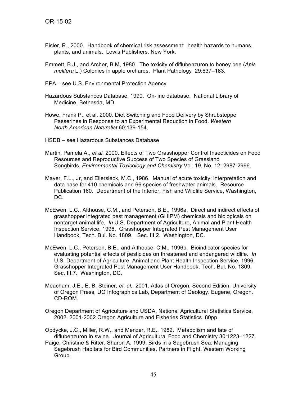- Eisler, R., 2000. Handbook of chemical risk assessment: health hazards to humans, plants, and animals. Lewis Publishers, New York.
- Emmett, B.J., and Archer, B.M, 1980. The toxicity of diflubenzuron to honey bee (*Apis melifera* L.) Colonies in apple orchards. Plant Pathology 29:637–183.
- EPA see U.S. Environmental Protection Agency
- Hazardous Substances Database, 1990. On-line database. National Library of Medicine, Bethesda, MD.
- Howe, Frank P., et al. 2000. Diet Switching and Food Delivery by Shrubsteppe Passerines in Response to an Experimental Reduction in Food. *Western North American Naturalist* 60:139-154.
- HSDB see Hazardous Substances Database
- Martin, Pamela A., *et al.* 2000. Effects of Two Grasshopper Control Insecticides on Food Resources and Reproductive Success of Two Species of Grassland Songbirds. *Environmental Toxicology and Chemistry* Vol. 19. No. 12: 2987-2996.
- Mayer, F.L., Jr, and Ellersieck, M.C., 1986. Manual of acute toxicity: interpretation and data base for 410 chemicals and 66 species of freshwater animals. Resource Publication 160. Department of the Interior, Fish and Wildlife Service, Washington, DC.
- McEwen, L.C., Althouse, C.M., and Peterson, B.E., 1996a. Direct and indirect effects of grasshopper integrated pest management (GHIPM) chemicals and biologicals on nontarget animal life. *In* U.S. Department of Agriculture, Animal and Plant Health Inspection Service, 1996. Grasshopper Integrated Pest Management User Handbook, Tech. Bul. No. 1809. Sec. III.2. Washington, DC.
- McEwen, L.C., Petersen, B.E., and Althouse, C.M., 1996b. Bioindicator species for evaluating potential effects of pesticides on threatened and endangered wildlife. *In*  U.S. Department of Agriculture, Animal and Plant Health Inspection Service, 1996. Grasshopper Integrated Pest Management User Handbook, Tech. Bul. No. 1809. Sec. III.7. Washington, DC.
- Meacham, J.E., E. B. Steiner, *et. al.*. 2001. Atlas of Oregon, Second Edition. University of Oregon Press, UO Infographics Lab, Department of Geology. Eugene, Oregon. CD-ROM.
- Oregon Department of Agriculture and USDA, National Agricultural Statistics Service. 2002. 2001-2002 Oregon Agriculture and Fisheries Statistics. 80pp.
- Opdycke, J.C., Miller, R.W., and Menzer, R.E., 1982. Metabolism and fate of diflubenzuron in swine. Journal of Agricultural Food and Chemistry 30:1223–1227.
- Paige, Christine & Ritter, Sharon A. 1999. Birds in a Sagebrush Sea: Managing Sagebrush Habitats for Bird Communities. Partners in Flight, Western Working Group.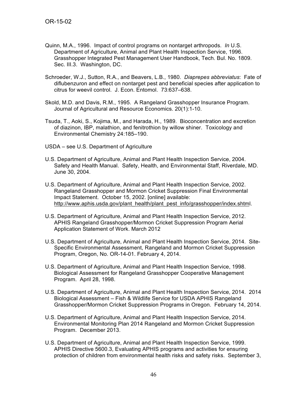- Quinn, M.A., 1996. Impact of control programs on nontarget arthropods. *In* U.S. Department of Agriculture, Animal and Plant Health Inspection Service, 1996. Grasshopper Integrated Pest Management User Handbook, Tech. Bul. No. 1809. Sec. III.3. Washington, DC.
- Schroeder, W.J., Sutton, R.A., and Beavers, L.B., 1980. *Diaprepes abbreviatus*: Fate of diflubenzuron and effect on nontarget pest and beneficial species after application to citrus for weevil control. J. Econ. Entomol. 73:637–638.
- Skold, M.D. and Davis, R.M., 1995. A Rangeland Grasshopper Insurance Program. Journal of Agricultural and Resource Economics. 20(1):1-10.
- Tsuda, T., Aoki, S., Kojima, M., and Harada, H., 1989. Bioconcentration and excretion of diazinon, IBP, malathion, and fenitrothion by willow shiner. Toxicology and Environmental Chemistry 24:185–190.

USDA – see U.S. Department of Agriculture

- U.S. Department of Agriculture, Animal and Plant Health Inspection Service, 2004. Safety and Health Manual. Safety, Health, and Environmental Staff, Riverdale, MD. June 30, 2004.
- U.S. Department of Agriculture, Animal and Plant Health Inspection Service, 2002. Rangeland Grasshopper and Mormon Cricket Suppression Final Environmental Impact Statement. October 15, 2002. [online] available: http://www.aphis.usda.gov/plant\_health/plant\_pest\_info/grasshopper/index.shtml.
- U.S. Department of Agriculture, Animal and Plant Health Inspection Service, 2012. APHIS Rangeland Grasshopper/Mormon Cricket Suppression Program Aerial Application Statement of Work. March 2012
- U.S. Department of Agriculture, Animal and Plant Health Inspection Service, 2014. Site-Specific Environmental Assessment, Rangeland and Mormon Cricket Suppression Program, Oregon, No. OR-14-01. February 4, 2014.
- U.S. Department of Agriculture, Animal and Plant Health Inspection Service, 1998. Biological Assessment for Rangeland Grasshopper Cooperative Management Program. April 28, 1998.
- U.S. Department of Agriculture, Animal and Plant Health Inspection Service, 2014. 2014 Biological Assessment – Fish & Wildlife Service for USDA APHIS Rangeland Grasshopper/Mormon Cricket Suppression Programs in Oregon. February 14, 2014.
- U.S. Department of Agriculture, Animal and Plant Health Inspection Service, 2014. Environmental Monitoring Plan 2014 Rangeland and Mormon Cricket Suppression Program. December 2013.
- U.S. Department of Agriculture, Animal and Plant Health Inspection Service, 1999. APHIS Directive 5600.3, Evaluating APHIS programs and activities for ensuring protection of children from environmental health risks and safety risks. September 3,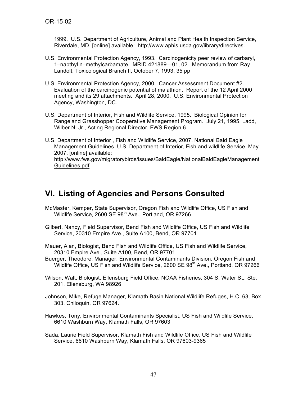1999. U.S. Department of Agriculture, Animal and Plant Health Inspection Service, Riverdale, MD. [online] available: http://www.aphis.usda.gov/library/directives.

- U.S. Environmental Protection Agency, 1993. Carcinogenicity peer review of carbaryl, 1–napthyl n–methylcarbamate. MRID 421889—01, 02. Memorandum from Ray Landolt, Toxicological Branch II, October 7, 1993, 35 pp
- U.S. Environmental Protection Agency, 2000. Cancer Assessment Document #2. Evaluation of the carcinogenic potential of malathion. Report of the 12 April 2000 meeting and its 29 attachments. April 28, 2000. U.S. Environmental Protection Agency, Washington, DC.
- U.S. Department of Interior, Fish and Wildlife Service, 1995. Biological Opinion for Rangeland Grasshopper Cooperative Management Program. July 21, 1995. Ladd, Wilber N. Jr., Acting Regional Director, FWS Region 6.
- U.S. Department of Interior , Fish and Wildlife Service, 2007. National Bald Eagle Management Guidelines. U.S. Department of Interior, Fish and wildlife Service. May 2007. [online] available: http://www.fws.gov/migratorybirds/issues/BaldEagle/NationalBaldEagleManagement Guidelines.pdf

# **VI. Listing of Agencies and Persons Consulted**

- McMaster, Kemper, State Supervisor, Oregon Fish and Wildlife Office, US Fish and Wildlife Service, 2600 SE 98<sup>th</sup> Ave., Portland, OR 97266
- Gilbert, Nancy, Field Supervisor, Bend Fish and Wildlife Office, US Fish and Wildlife Service, 20310 Empire Ave., Suite A100, Bend, OR 97701
- Mauer, Alan, Biologist, Bend Fish and Wildlife Office, US Fish and Wildlife Service, 20310 Empire Ave., Suite A100, Bend, OR 97701
- Buerger, Theodore, Manager, Environmental Contaminants Division, Oregon Fish and Wildlife Office, US Fish and Wildlife Service, 2600 SE 98<sup>th</sup> Ave., Portland, OR 97266
- Wilson, Walt, Biologist, Ellensburg Field Office, NOAA Fisheries, 304 S. Water St., Ste. 201, Ellensburg, WA 98926
- Johnson, Mike, Refuge Manager, Klamath Basin National Wildlife Refuges, H.C. 63, Box 303, Chiloquin, OR 97624.
- Hawkes, Tony, Environmental Contaminants Specialist, US Fish and Wildlife Service, 6610 Washburn Way, Klamath Falls, OR 97603
- Sada, Laurie Field Supervisor, Klamath Fish and Wildlife Office, US Fish and Wildlife Service, 6610 Washburn Way, Klamath Falls, OR 97603-9365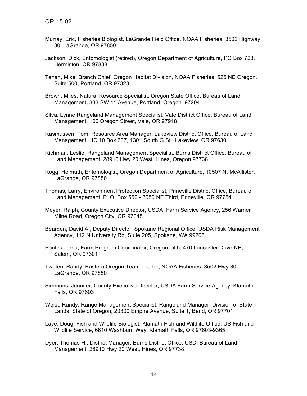- Murray, Eric, Fisheries Biologist, LaGrande Field Office, NOAA Fisheries, 3502 Highway 30, LaGrande, OR 97850
- Jackson, Dick, Entomologist (retired), Oregon Department of Agriculture, PO Box 723, Hermiston, OR 97838
- Tehan, Mike, Branch Chief, Oregon Habitat Division, NOAA Fisheries, 525 NE Oregon, Suite 500, Portland, OR 97323
- Brown, Miles, Natural Resource Specialist, Oregon State Office**,** Bureau of Land Management, 333 SW 1<sup>st</sup> Avenue, Portland, Oregon 97204
- Silva, Lynne Rangeland Management Specialist, Vale District Office, Bureau of Land Management**,** 100 Oregon Street, Vale, OR 97918
- Rasmussen, Tom, Resource Area Manager, Lakeview District Office, Bureau of Land Management, HC 10 Box 337, 1301 South G St., Lakeview, OR 97630
- Richman, Leslie, Rangeland Management Specialist, Burns District Office, Bureau of Land Management, 28910 Hwy 20 West, Hines, Oregon 97738
- Rogg, Helmuth, Entomologist, Oregon Department of Agriculture, 10507 N. McAllister, LaGrande, OR 97850
- Thomas, Larry, Environment Protection Specialist, Prineville District Office, Bureau of Land Management, P. O. Box 550 - 3050 NE Third, Prineville, OR 97754
- Meyer, Ralph, County Executive Director, USDA, Farm Service Agency, 256 Warner Milne Road, Oregon City, OR 97045
- Bearden, David A., Deputy Director, Spokane Regional Office, USDA Risk Management Agency, 112 N University Rd, Suite 205, Spokane, WA 99206
- Pontes, Lena, Farm Program Coordinator, Oregon Tilth, 470 Lancaster Drive NE, Salem, OR 97301
- Tweten, Randy, Eastern Oregon Team Leader, NOAA Fisheries, 3502 Hwy 30, LaGrande, OR 97850
- Simmons, Jennifer, County Executive Director, USDA Farm Service Agency, Klamath Falls, OR 97603
- Weist, Randy, Range Management Specialist, Rangeland Manager, Division of State Lands, State of Oregon, 20300 Empire Avenue, Suite 1, Bend, OR 97701
- Laye, Doug, Fish and Wildlife Biologist, Klamath Fish and Wildlife Office, US Fish and Wildlife Service, 6610 Washburn Way, Klamath Falls, OR 97603-9365
- Dyer, Thomas H., District Manager, Burns District Office, USDI Bureau of Land Management, 28910 Hwy 20 West, Hines, OR 97738